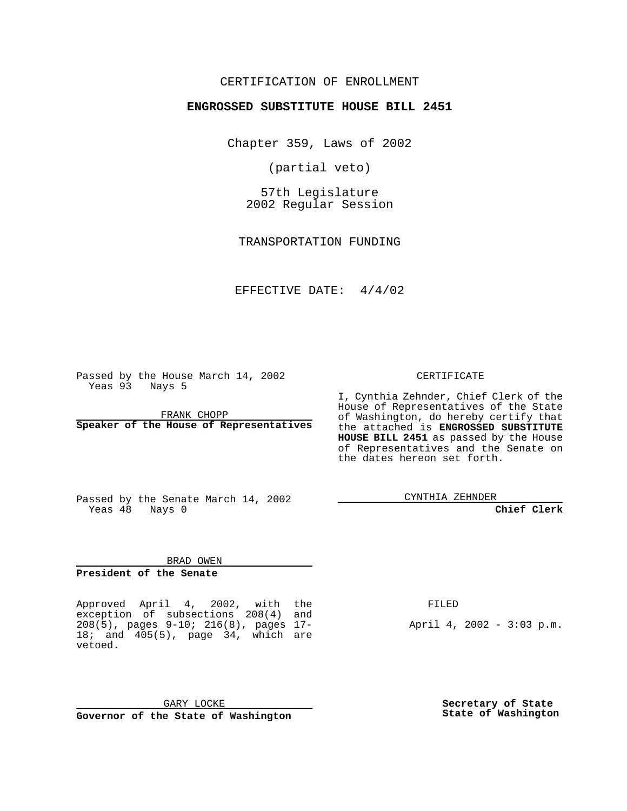#### CERTIFICATION OF ENROLLMENT

## **ENGROSSED SUBSTITUTE HOUSE BILL 2451**

Chapter 359, Laws of 2002

(partial veto)

57th Legislature 2002 Regular Session

TRANSPORTATION FUNDING

EFFECTIVE DATE: 4/4/02

Passed by the House March 14, 2002 Yeas 93 Nays 5

FRANK CHOPP **Speaker of the House of Representatives** CERTIFICATE

I, Cynthia Zehnder, Chief Clerk of the House of Representatives of the State of Washington, do hereby certify that the attached is **ENGROSSED SUBSTITUTE HOUSE BILL 2451** as passed by the House of Representatives and the Senate on the dates hereon set forth.

Passed by the Senate March 14, 2002 Yeas 48 Nays 0

CYNTHIA ZEHNDER

**Chief Clerk**

BRAD OWEN

**President of the Senate**

Approved April 4, 2002, with the exception of subsections 208(4) and 208(5), pages 9-10; 216(8), pages 17- 18; and 405(5), page 34, which are vetoed.

FILED

April 4, 2002 - 3:03 p.m.

GARY LOCKE **Governor of the State of Washington** **Secretary of State State of Washington**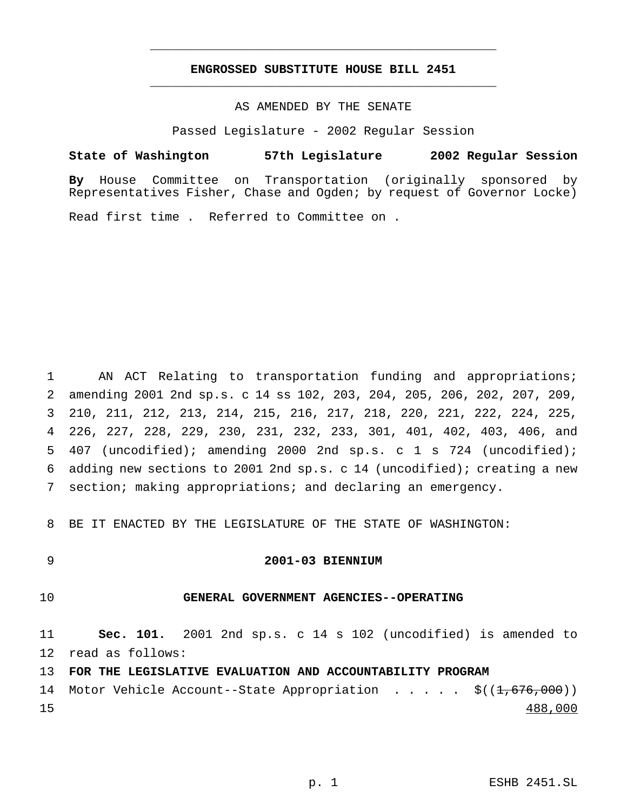## **ENGROSSED SUBSTITUTE HOUSE BILL 2451** \_\_\_\_\_\_\_\_\_\_\_\_\_\_\_\_\_\_\_\_\_\_\_\_\_\_\_\_\_\_\_\_\_\_\_\_\_\_\_\_\_\_\_\_\_\_\_

\_\_\_\_\_\_\_\_\_\_\_\_\_\_\_\_\_\_\_\_\_\_\_\_\_\_\_\_\_\_\_\_\_\_\_\_\_\_\_\_\_\_\_\_\_\_\_

## AS AMENDED BY THE SENATE

Passed Legislature - 2002 Regular Session

#### **State of Washington 57th Legislature 2002 Regular Session**

**By** House Committee on Transportation (originally sponsored by Representatives Fisher, Chase and Ogden; by request of Governor Locke)

Read first time . Referred to Committee on .

 AN ACT Relating to transportation funding and appropriations; amending 2001 2nd sp.s. c 14 ss 102, 203, 204, 205, 206, 202, 207, 209, 210, 211, 212, 213, 214, 215, 216, 217, 218, 220, 221, 222, 224, 225, 226, 227, 228, 229, 230, 231, 232, 233, 301, 401, 402, 403, 406, and 407 (uncodified); amending 2000 2nd sp.s. c 1 s 724 (uncodified); adding new sections to 2001 2nd sp.s. c 14 (uncodified); creating a new section; making appropriations; and declaring an emergency.

8 BE IT ENACTED BY THE LEGISLATURE OF THE STATE OF WASHINGTON:

#### 9 **2001-03 BIENNIUM**

## 10 **GENERAL GOVERNMENT AGENCIES--OPERATING**

11 **Sec. 101.** 2001 2nd sp.s. c 14 s 102 (uncodified) is amended to 12 read as follows:

13 **FOR THE LEGISLATIVE EVALUATION AND ACCOUNTABILITY PROGRAM**

14 Motor Vehicle Account--State Appropriation . . . . \$((1,676,000)) 15 488,000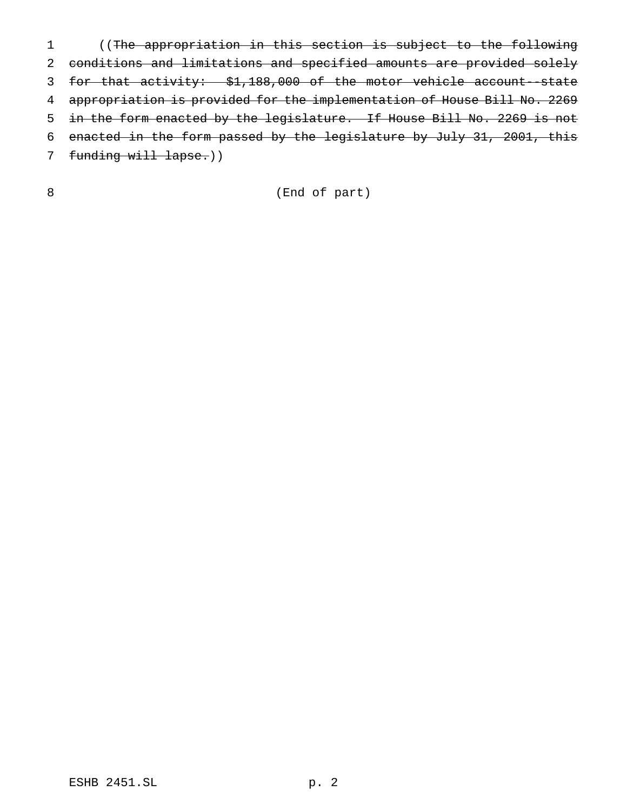((The appropriation in this section is subject to the following conditions and limitations and specified amounts are provided solely for that activity: \$1,188,000 of the motor vehicle account--state appropriation is provided for the implementation of House Bill No. 2269 in the form enacted by the legislature. If House Bill No. 2269 is not enacted in the form passed by the legislature by July 31, 2001, this 7 funding will lapse.))

(End of part)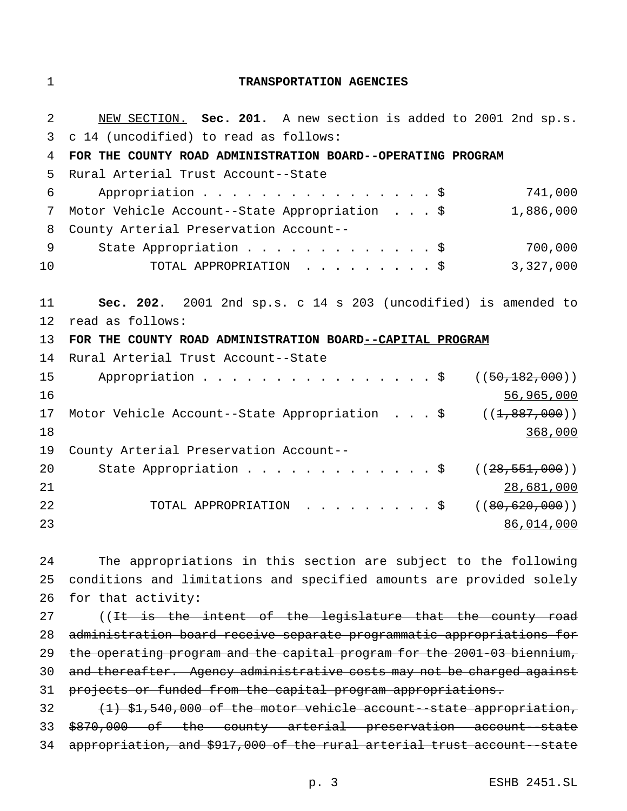## **TRANSPORTATION AGENCIES**

| 2  | NEW SECTION. Sec. 201. A new section is added to 2001 2nd sp.s. |
|----|-----------------------------------------------------------------|
| 3  | c 14 (uncodified) to read as follows:                           |
| 4  | FOR THE COUNTY ROAD ADMINISTRATION BOARD--OPERATING PROGRAM     |
| 5  | Rural Arterial Trust Account--State                             |
| 6  | 741,000<br>Appropriation $\frac{1}{5}$                          |
| 7  | 1,886,000<br>Motor Vehicle Account--State Appropriation \$      |
| 8  | County Arterial Preservation Account--                          |
| 9  | 700,000<br>State Appropriation \$                               |
| 10 | 3,327,000<br>TOTAL APPROPRIATION \$                             |
|    |                                                                 |
| 11 | Sec. 202. 2001 2nd sp.s. c 14 s 203 (uncodified) is amended to  |
| 12 | read as follows:                                                |
| 13 | FOR THE COUNTY ROAD ADMINISTRATION BOARD--CAPITAL PROGRAM       |
|    |                                                                 |
| 14 | Rural Arterial Trust Account--State                             |
| 15 | Appropriation \$<br>((50, 182, 000))                            |
| 16 | 56,965,000                                                      |
| 17 | Motor Vehicle Account--State Appropriation \$ $((1,887,000))$   |
| 18 | 368,000                                                         |
| 19 | County Arterial Preservation Account--                          |
| 20 | State Appropriation $\ldots$ \$<br>((28, 551, 000))             |
| 21 | 28,681,000                                                      |
| 22 | TOTAL APPROPRIATION \$<br>((80, 620, 000))                      |
| 23 | 86,014,000                                                      |

 The appropriations in this section are subject to the following conditions and limitations and specified amounts are provided solely for that activity:

27 ((It is the intent of the legislature that the county road administration board receive separate programmatic appropriations for the operating program and the capital program for the 2001-03 biennium, and thereafter. Agency administrative costs may not be charged against projects or funded from the capital program appropriations. (1) \$1,540,000 of the motor vehicle account--state appropriation,

 \$870,000 of the county arterial preservation account--state appropriation, and \$917,000 of the rural arterial trust account--state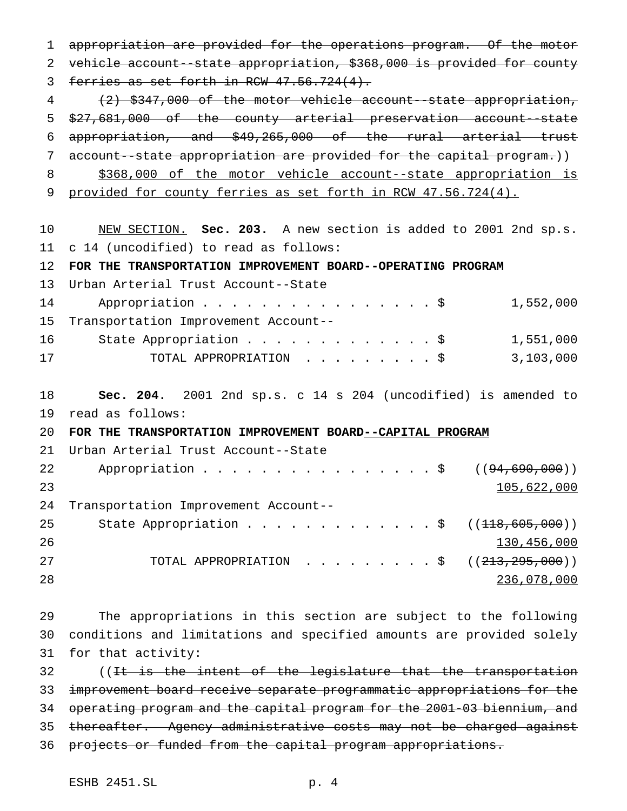appropriation are provided for the operations program. Of the motor vehicle account--state appropriation, \$368,000 is provided for county 3 ferries as set forth in RCW  $47.56.724(4)$ . (2) \$347,000 of the motor vehicle account--state appropriation, \$27,681,000 of the county arterial preservation account--state appropriation, and \$49,265,000 of the rural arterial trust 7 account--state appropriation are provided for the capital program.)) 8 \$368,000 of the motor vehicle account--state appropriation is provided for county ferries as set forth in RCW 47.56.724(4). NEW SECTION. **Sec. 203.** A new section is added to 2001 2nd sp.s. c 14 (uncodified) to read as follows: **FOR THE TRANSPORTATION IMPROVEMENT BOARD--OPERATING PROGRAM** Urban Arterial Trust Account--State 14 Appropriation . . . . . . . . . . . . . . \$ 1,552,000 Transportation Improvement Account-- 16 State Appropriation . . . . . . . . . . . . \$ 1,551,000 TOTAL APPROPRIATION .........\$ 3,103,000 **Sec. 204.** 2001 2nd sp.s. c 14 s 204 (uncodified) is amended to read as follows: **FOR THE TRANSPORTATION IMPROVEMENT BOARD--CAPITAL PROGRAM** Urban Arterial Trust Account--State 22 Appropriation . . . . . . . . . . . . . . . \$ ((94,690,000)) 105,622,000 Transportation Improvement Account-- 25 State Appropriation . . . . . . . . . . . . \$ ((<del>118,605,000</del>)) 130,456,000 TOTAL APPROPRIATION .........\$ ((213,295,000)) 236,078,000

 The appropriations in this section are subject to the following conditions and limitations and specified amounts are provided solely for that activity:

32 ((It is the intent of the legislature that the transportation improvement board receive separate programmatic appropriations for the operating program and the capital program for the 2001-03 biennium, and thereafter. Agency administrative costs may not be charged against 36 projects or funded from the capital program appropriations.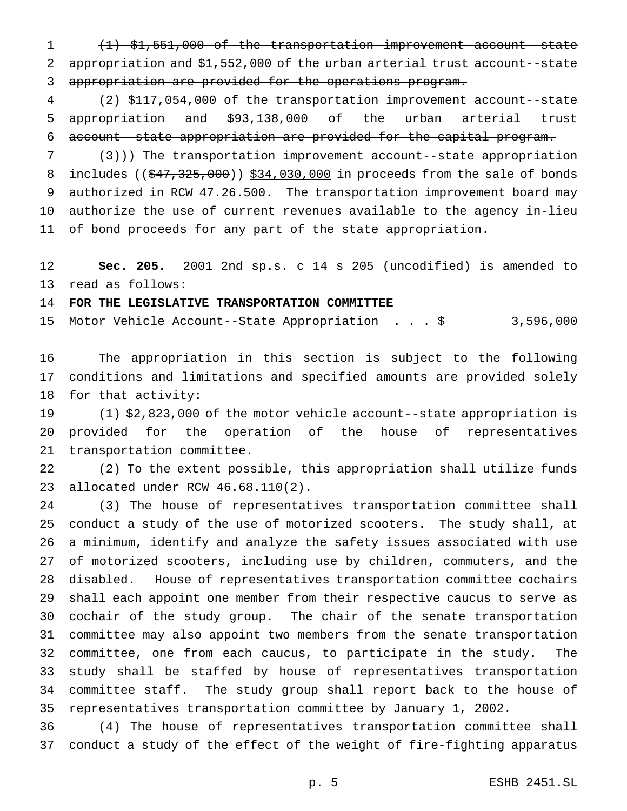(1) \$1,551,000 of the transportation improvement account--state appropriation and \$1,552,000 of the urban arterial trust account--state appropriation are provided for the operations program.

 (2) \$117,054,000 of the transportation improvement account--state appropriation and \$93,138,000 of the urban arterial trust account--state appropriation are provided for the capital program.

  $(3)$ )) The transportation improvement account--state appropriation 8 includes ((\$47,325,000)) \$34,030,000 in proceeds from the sale of bonds authorized in RCW 47.26.500. The transportation improvement board may authorize the use of current revenues available to the agency in-lieu of bond proceeds for any part of the state appropriation.

 **Sec. 205.** 2001 2nd sp.s. c 14 s 205 (uncodified) is amended to read as follows:

## **FOR THE LEGISLATIVE TRANSPORTATION COMMITTEE**

Motor Vehicle Account--State Appropriation ...\$ 3,596,000

 The appropriation in this section is subject to the following conditions and limitations and specified amounts are provided solely for that activity:

 (1) \$2,823,000 of the motor vehicle account--state appropriation is provided for the operation of the house of representatives transportation committee.

 (2) To the extent possible, this appropriation shall utilize funds allocated under RCW 46.68.110(2).

 (3) The house of representatives transportation committee shall conduct a study of the use of motorized scooters. The study shall, at a minimum, identify and analyze the safety issues associated with use of motorized scooters, including use by children, commuters, and the disabled. House of representatives transportation committee cochairs shall each appoint one member from their respective caucus to serve as cochair of the study group. The chair of the senate transportation committee may also appoint two members from the senate transportation committee, one from each caucus, to participate in the study. The study shall be staffed by house of representatives transportation committee staff. The study group shall report back to the house of representatives transportation committee by January 1, 2002.

 (4) The house of representatives transportation committee shall conduct a study of the effect of the weight of fire-fighting apparatus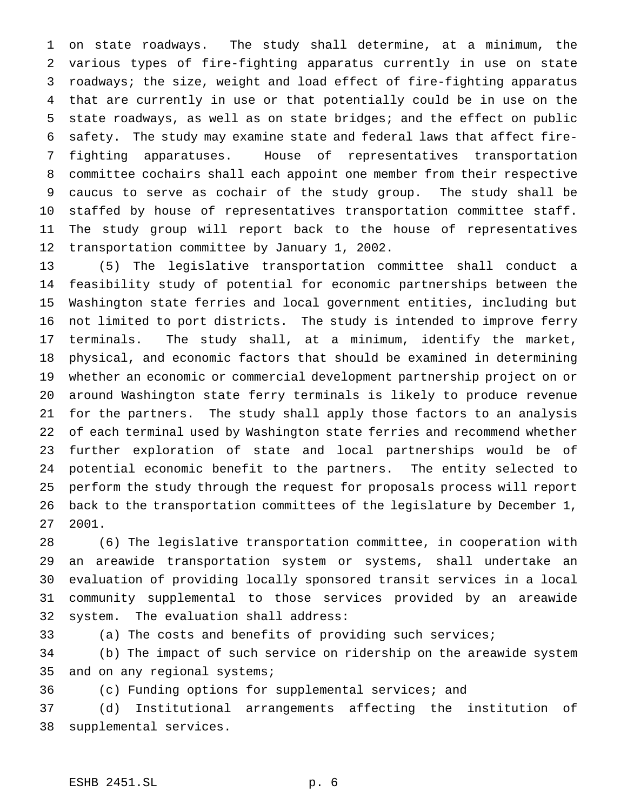on state roadways. The study shall determine, at a minimum, the various types of fire-fighting apparatus currently in use on state roadways; the size, weight and load effect of fire-fighting apparatus that are currently in use or that potentially could be in use on the state roadways, as well as on state bridges; and the effect on public safety. The study may examine state and federal laws that affect fire- fighting apparatuses. House of representatives transportation committee cochairs shall each appoint one member from their respective caucus to serve as cochair of the study group. The study shall be staffed by house of representatives transportation committee staff. The study group will report back to the house of representatives transportation committee by January 1, 2002.

 (5) The legislative transportation committee shall conduct a feasibility study of potential for economic partnerships between the Washington state ferries and local government entities, including but not limited to port districts. The study is intended to improve ferry terminals. The study shall, at a minimum, identify the market, physical, and economic factors that should be examined in determining whether an economic or commercial development partnership project on or around Washington state ferry terminals is likely to produce revenue for the partners. The study shall apply those factors to an analysis of each terminal used by Washington state ferries and recommend whether further exploration of state and local partnerships would be of potential economic benefit to the partners. The entity selected to perform the study through the request for proposals process will report back to the transportation committees of the legislature by December 1, 2001.

 (6) The legislative transportation committee, in cooperation with an areawide transportation system or systems, shall undertake an evaluation of providing locally sponsored transit services in a local community supplemental to those services provided by an areawide system. The evaluation shall address:

(a) The costs and benefits of providing such services;

 (b) The impact of such service on ridership on the areawide system and on any regional systems;

(c) Funding options for supplemental services; and

 (d) Institutional arrangements affecting the institution of supplemental services.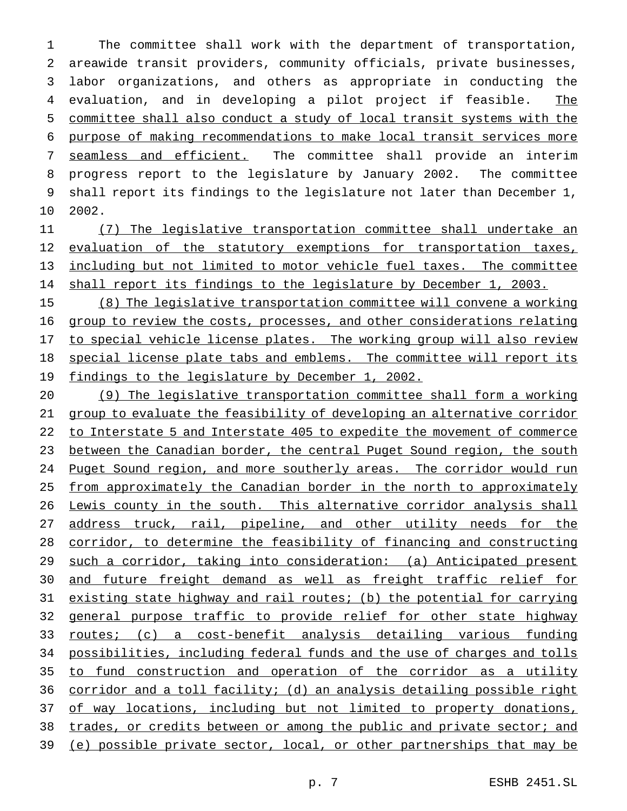The committee shall work with the department of transportation, areawide transit providers, community officials, private businesses, labor organizations, and others as appropriate in conducting the 4 evaluation, and in developing a pilot project if feasible. The committee shall also conduct a study of local transit systems with the purpose of making recommendations to make local transit services more seamless and efficient. The committee shall provide an interim progress report to the legislature by January 2002. The committee shall report its findings to the legislature not later than December 1, 2002.

 (7) The legislative transportation committee shall undertake an 12 evaluation of the statutory exemptions for transportation taxes, 13 including but not limited to motor vehicle fuel taxes. The committee shall report its findings to the legislature by December 1, 2003.

 (8) The legislative transportation committee will convene a working group to review the costs, processes, and other considerations relating 17 to special vehicle license plates. The working group will also review special license plate tabs and emblems. The committee will report its findings to the legislature by December 1, 2002.

 (9) The legislative transportation committee shall form a working group to evaluate the feasibility of developing an alternative corridor to Interstate 5 and Interstate 405 to expedite the movement of commerce between the Canadian border, the central Puget Sound region, the south Puget Sound region, and more southerly areas. The corridor would run from approximately the Canadian border in the north to approximately 26 Lewis county in the south. This alternative corridor analysis shall 27 address truck, rail, pipeline, and other utility needs for the corridor, to determine the feasibility of financing and constructing such a corridor, taking into consideration: (a) Anticipated present and future freight demand as well as freight traffic relief for existing state highway and rail routes; (b) the potential for carrying general purpose traffic to provide relief for other state highway routes; (c) a cost-benefit analysis detailing various funding possibilities, including federal funds and the use of charges and tolls to fund construction and operation of the corridor as a utility corridor and a toll facility; (d) an analysis detailing possible right 37 of way locations, including but not limited to property donations, trades, or credits between or among the public and private sector; and (e) possible private sector, local, or other partnerships that may be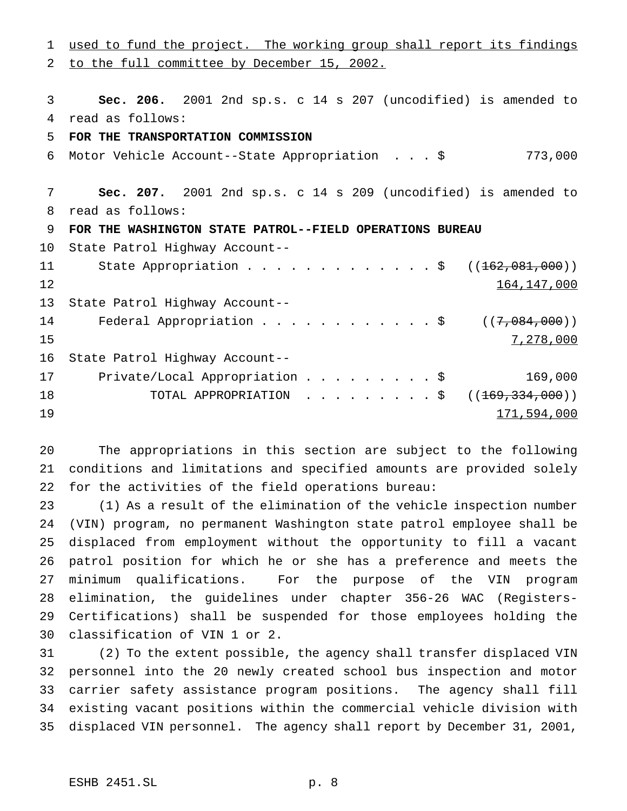to the full committee by December 15, 2002. **Sec. 206.** 2001 2nd sp.s. c 14 s 207 (uncodified) is amended to read as follows: **FOR THE TRANSPORTATION COMMISSION** Motor Vehicle Account--State Appropriation ...\$ 773,000 **Sec. 207.** 2001 2nd sp.s. c 14 s 209 (uncodified) is amended to read as follows: **FOR THE WASHINGTON STATE PATROL--FIELD OPERATIONS BUREAU** State Patrol Highway Account-- 11 State Appropriation . . . . . . . . . . . . \$ ((<del>162,081,000</del>)) 164,147,000 State Patrol Highway Account-- 14 Federal Appropriation . . . . . . . . . . \$ ((7,084,000)) 7,278,000 State Patrol Highway Account-- 17 Private/Local Appropriation . . . . . . . . \$ 169,000 18 TOTAL APPROPRIATION . . . . . . . . \$ ((<del>169,334,000</del>)) 171,594,000

used to fund the project. The working group shall report its findings

 The appropriations in this section are subject to the following conditions and limitations and specified amounts are provided solely for the activities of the field operations bureau:

 (1) As a result of the elimination of the vehicle inspection number (VIN) program, no permanent Washington state patrol employee shall be displaced from employment without the opportunity to fill a vacant patrol position for which he or she has a preference and meets the minimum qualifications. For the purpose of the VIN program elimination, the guidelines under chapter 356-26 WAC (Registers- Certifications) shall be suspended for those employees holding the classification of VIN 1 or 2.

 (2) To the extent possible, the agency shall transfer displaced VIN personnel into the 20 newly created school bus inspection and motor carrier safety assistance program positions. The agency shall fill existing vacant positions within the commercial vehicle division with displaced VIN personnel. The agency shall report by December 31, 2001,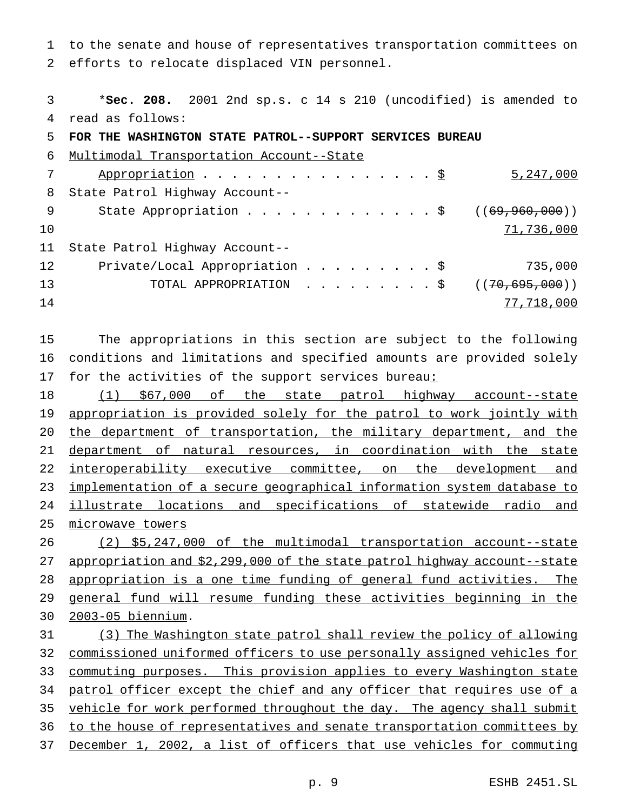to the senate and house of representatives transportation committees on efforts to relocate displaced VIN personnel.

 \***Sec. 208.** 2001 2nd sp.s. c 14 s 210 (uncodified) is amended to read as follows: **FOR THE WASHINGTON STATE PATROL--SUPPORT SERVICES BUREAU** Multimodal Transportation Account--State 7 Appropriation . . . . . . . . . . . . . . . \$ 5,247,000 State Patrol Highway Account-- 9 State Appropriation . . . . . . . . . . . . \$ ((69,960,000)) 71,736,000 State Patrol Highway Account-- Private/Local Appropriation.........\$ 735,000 13 TOTAL APPROPRIATION . . . . . . . . \$ ((70,695,000)) 77,718,000

 The appropriations in this section are subject to the following conditions and limitations and specified amounts are provided solely 17 for the activities of the support services bureau:

 (1) \$67,000 of the state patrol highway account--state 19 appropriation is provided solely for the patrol to work jointly with 20 the department of transportation, the military department, and the department of natural resources, in coordination with the state 22 interoperability executive committee, on the development and implementation of a secure geographical information system database to 24 illustrate locations and specifications of statewide radio and microwave towers

 (2) \$5,247,000 of the multimodal transportation account--state appropriation and \$2,299,000 of the state patrol highway account--state appropriation is a one time funding of general fund activities. The general fund will resume funding these activities beginning in the 2003-05 biennium.

 (3) The Washington state patrol shall review the policy of allowing commissioned uniformed officers to use personally assigned vehicles for commuting purposes. This provision applies to every Washington state 34 patrol officer except the chief and any officer that requires use of a 35 vehicle for work performed throughout the day. The agency shall submit to the house of representatives and senate transportation committees by December 1, 2002, a list of officers that use vehicles for commuting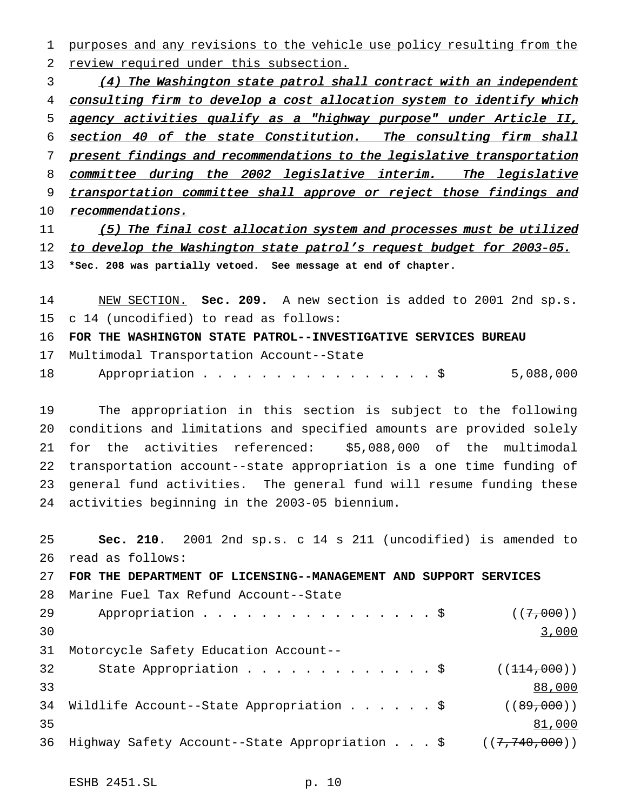1 purposes and any revisions to the vehicle use policy resulting from the 2 review required under this subsection.

3 (4) The Washington state patrol shall contract with an independent 4 consulting firm to develop a cost allocation system to identify which 5 agency activities qualify as <sup>a</sup> "highway purpose" under Article II, 6 section <sup>40</sup> of the state Constitution. The consulting firm shall 7 present findings and recommendations to the legislative transportation 8 committee during the 2002 legislative interim. The legislative 9 transportation committee shall approve or reject those findings and 10 recommendations.

11 (5) The final cost allocation system and processes must be utilized 12 to develop the Washington state patrol's request budget for 2003-05. 13 **\*Sec. 208 was partially vetoed. See message at end of chapter.**

14 NEW SECTION. **Sec. 209.** A new section is added to 2001 2nd sp.s. 15 c 14 (uncodified) to read as follows:

16 **FOR THE WASHINGTON STATE PATROL--INVESTIGATIVE SERVICES BUREAU**

17 Multimodal Transportation Account--State

18 Appropriation . . . . . . . . . . . . . . \$ 5,088,000

 The appropriation in this section is subject to the following conditions and limitations and specified amounts are provided solely for the activities referenced: \$5,088,000 of the multimodal transportation account--state appropriation is a one time funding of general fund activities. The general fund will resume funding these activities beginning in the 2003-05 biennium.

25 **Sec. 210.** 2001 2nd sp.s. c 14 s 211 (uncodified) is amended to 26 read as follows: 27 **FOR THE DEPARTMENT OF LICENSING--MANAGEMENT AND SUPPORT SERVICES** 28 Marine Fuel Tax Refund Account--State 29 Appropriation . . . . . . . . . . . . . . \$  $((7,000))$ 3,000 31 Motorcycle Safety Education Account-- 32 State Appropriation . . . . . . . . . . . \$  $((114,000))$ 33 88,000 34 Wildlife Account--State Appropriation . . . . . \$ ((89,000)) 35 81,000 36 Highway Safety Account--State Appropriation . . . \$ ((7,740,000))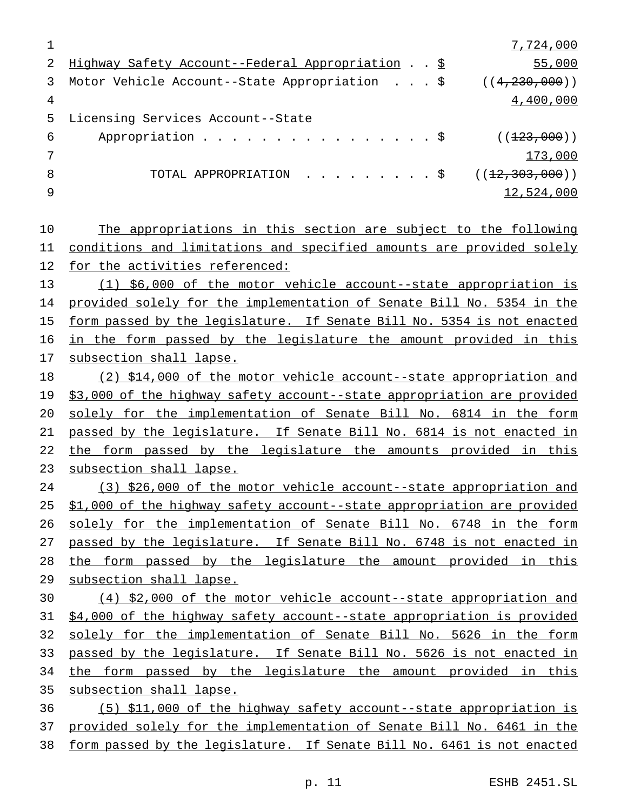7,724,000 Highway Safety Account--Federal Appropriation ..\$ 55,000 Motor Vehicle Account--State Appropriation ...\$ ((4,230,000)) 4,400,000 Licensing Services Account--State 6 Appropriation . . . . . . . . . . . . . . \$  $((123,000))$ 7 and 173,000 and 173,000 and 173,000 and 173,000 and 173,000 and 173,000 and 173,000 and 173,000 and 173,000  $\pm$ 8 TOTAL APPROPRIATION . . . . . . . . \$ ((<del>12,303,000</del>)) 12,524,000 The appropriations in this section are subject to the following conditions and limitations and specified amounts are provided solely for the activities referenced: (1) \$6,000 of the motor vehicle account--state appropriation is 14 provided solely for the implementation of Senate Bill No. 5354 in the form passed by the legislature. If Senate Bill No. 5354 is not enacted 16 in the form passed by the legislature the amount provided in this subsection shall lapse. (2) \$14,000 of the motor vehicle account--state appropriation and \$3,000 of the highway safety account--state appropriation are provided solely for the implementation of Senate Bill No. 6814 in the form passed by the legislature. If Senate Bill No. 6814 is not enacted in 22 the form passed by the legislature the amounts provided in this subsection shall lapse. (3) \$26,000 of the motor vehicle account--state appropriation and \$1,000 of the highway safety account--state appropriation are provided solely for the implementation of Senate Bill No. 6748 in the form passed by the legislature. If Senate Bill No. 6748 is not enacted in the form passed by the legislature the amount provided in this subsection shall lapse. (4) \$2,000 of the motor vehicle account--state appropriation and \$4,000 of the highway safety account--state appropriation is provided solely for the implementation of Senate Bill No. 5626 in the form passed by the legislature. If Senate Bill No. 5626 is not enacted in the form passed by the legislature the amount provided in this subsection shall lapse. (5) \$11,000 of the highway safety account--state appropriation is provided solely for the implementation of Senate Bill No. 6461 in the form passed by the legislature. If Senate Bill No. 6461 is not enacted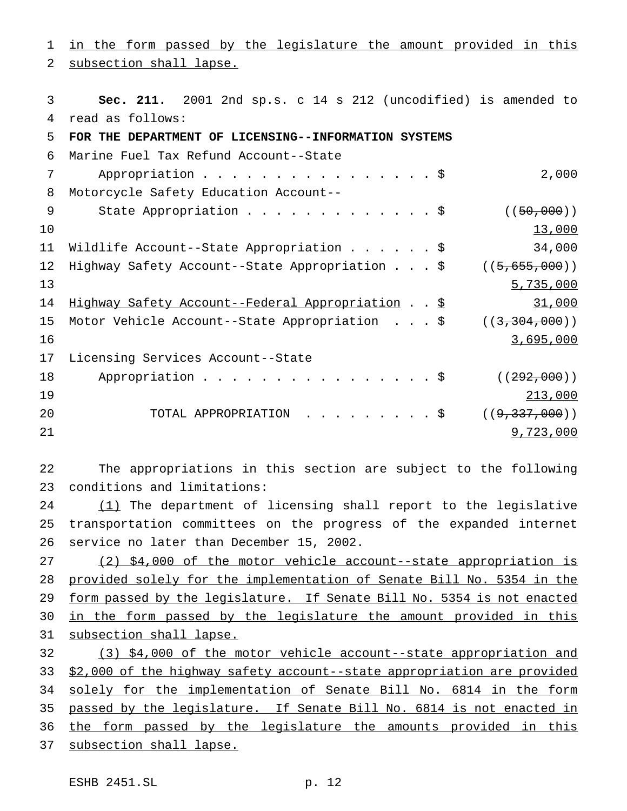subsection shall lapse. **Sec. 211.** 2001 2nd sp.s. c 14 s 212 (uncodified) is amended to read as follows: **FOR THE DEPARTMENT OF LICENSING--INFORMATION SYSTEMS** Marine Fuel Tax Refund Account--State 7 Appropriation . . . . . . . . . . . . . . . \$ 2,000 Motorcycle Safety Education Account-- 9 State Appropriation . . . . . . . . . . . . \$ ((50,000)) 10 10 13,000 13,000 13,000 13,000 13,000 13,000 13,000 13,000 13,000 13,000 13,000 13,000 13,000 13,000 13,000 Wildlife Account--State Appropriation......\$ 34,000 12 Highway Safety Account--State Appropriation . . . \$ ((5,655,000)) 5,735,000 14 Highway Safety Account--Federal Appropriation . . \$ 31,000 15 Motor Vehicle Account--State Appropriation . . . \$ ((3,304,000)) 3,695,000 Licensing Services Account--State 18 Appropriation . . . . . . . . . . . . . . \$ ((292,000)) 213,000 20 TOTAL APPROPRIATION . . . . . . . . \$ ((<del>9,337,000</del>)) 9,723,000

in the form passed by the legislature the amount provided in this

 The appropriations in this section are subject to the following conditions and limitations:

24 (1) The department of licensing shall report to the legislative transportation committees on the progress of the expanded internet service no later than December 15, 2002.

 (2) \$4,000 of the motor vehicle account--state appropriation is provided solely for the implementation of Senate Bill No. 5354 in the form passed by the legislature. If Senate Bill No. 5354 is not enacted 30 in the form passed by the legislature the amount provided in this subsection shall lapse.

 (3) \$4,000 of the motor vehicle account--state appropriation and \$2,000 of the highway safety account--state appropriation are provided 34 solely for the implementation of Senate Bill No. 6814 in the form passed by the legislature. If Senate Bill No. 6814 is not enacted in the form passed by the legislature the amounts provided in this 37 subsection shall lapse.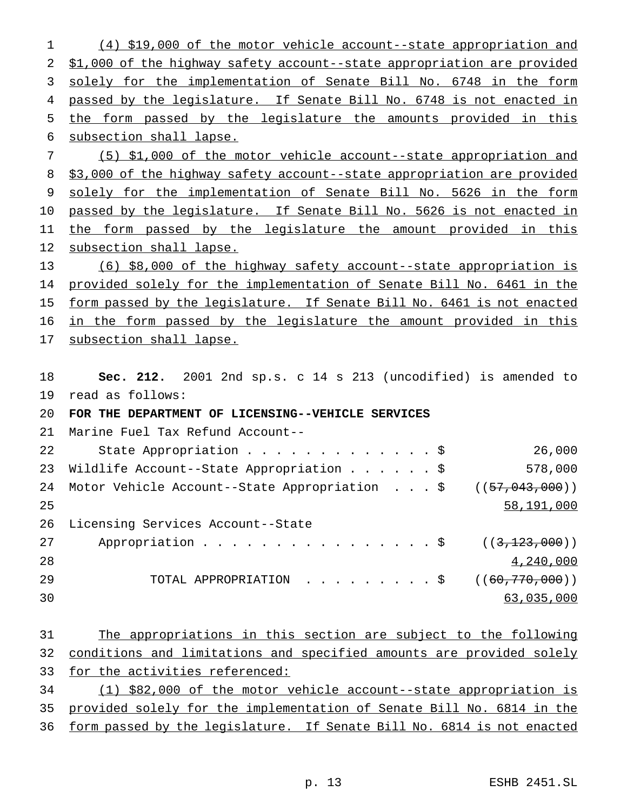(4) \$19,000 of the motor vehicle account--state appropriation and \$1,000 of the highway safety account--state appropriation are provided 3 solely for the implementation of Senate Bill No. 6748 in the form 4 passed by the legislature. If Senate Bill No. 6748 is not enacted in the form passed by the legislature the amounts provided in this subsection shall lapse. (5) \$1,000 of the motor vehicle account--state appropriation and

8 \$3,000 of the highway safety account--state appropriation are provided solely for the implementation of Senate Bill No. 5626 in the form 10 passed by the legislature. If Senate Bill No. 5626 is not enacted in the form passed by the legislature the amount provided in this subsection shall lapse.

 (6) \$8,000 of the highway safety account--state appropriation is provided solely for the implementation of Senate Bill No. 6461 in the 15 form passed by the legislature. If Senate Bill No. 6461 is not enacted in the form passed by the legislature the amount provided in this subsection shall lapse.

 **Sec. 212.** 2001 2nd sp.s. c 14 s 213 (uncodified) is amended to read as follows:

# **FOR THE DEPARTMENT OF LICENSING--VEHICLE SERVICES**

Marine Fuel Tax Refund Account--

| 22 | State Appropriation \$                                           | 26,000             |
|----|------------------------------------------------------------------|--------------------|
| 23 | Wildlife Account--State Appropriation \$                         | 578,000            |
| 24 | Motor Vehicle Account--State Appropriation \$ $((57, 043, 000))$ |                    |
| 25 |                                                                  | 58,191,000         |
| 26 | Licensing Services Account--State                                |                    |
| 27 |                                                                  |                    |
| 28 |                                                                  | 4,240,000          |
| 29 | TOTAL APPROPRIATION \$                                           | ( (60, 770, 000) ) |
| 30 |                                                                  | 63,035,000         |

| 31 \ |                                                                         |  |  | The appropriations in this section are subject to the following |  |  |  |
|------|-------------------------------------------------------------------------|--|--|-----------------------------------------------------------------|--|--|--|
|      | 32 conditions and limitations and specified amounts are provided solely |  |  |                                                                 |  |  |  |
|      | 33 for the activities referenced:                                       |  |  |                                                                 |  |  |  |

 (1) \$82,000 of the motor vehicle account--state appropriation is provided solely for the implementation of Senate Bill No. 6814 in the form passed by the legislature. If Senate Bill No. 6814 is not enacted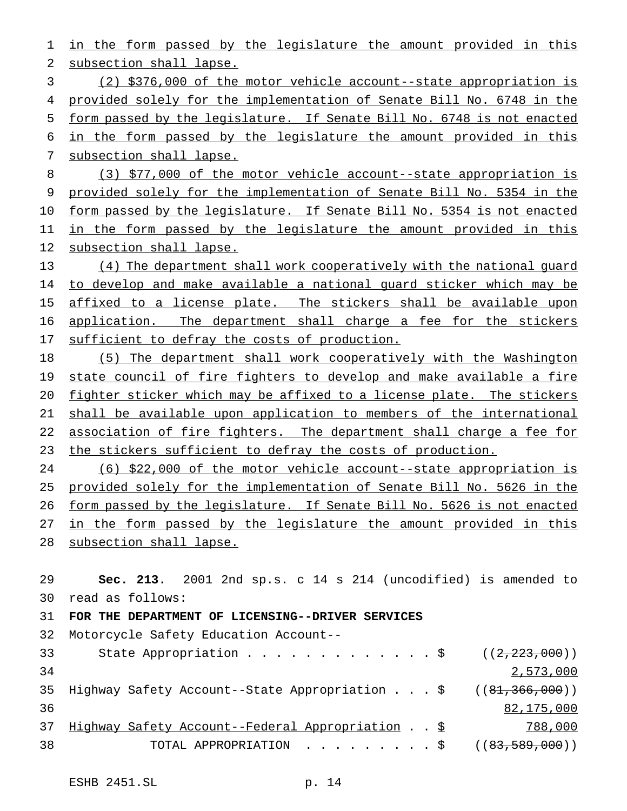in the form passed by the legislature the amount provided in this subsection shall lapse. (2) \$376,000 of the motor vehicle account--state appropriation is provided solely for the implementation of Senate Bill No. 6748 in the form passed by the legislature. If Senate Bill No. 6748 is not enacted in the form passed by the legislature the amount provided in this subsection shall lapse. (3) \$77,000 of the motor vehicle account--state appropriation is provided solely for the implementation of Senate Bill No. 5354 in the 10 form passed by the legislature. If Senate Bill No. 5354 is not enacted 11 in the form passed by the legislature the amount provided in this subsection shall lapse. (4) The department shall work cooperatively with the national guard 14 to develop and make available a national guard sticker which may be 15 affixed to a license plate. The stickers shall be available upon 16 application. The department shall charge a fee for the stickers 17 sufficient to defray the costs of production. (5) The department shall work cooperatively with the Washington 19 state council of fire fighters to develop and make available a fire fighter sticker which may be affixed to a license plate. The stickers shall be available upon application to members of the international 22 association of fire fighters. The department shall charge a fee for the stickers sufficient to defray the costs of production. (6) \$22,000 of the motor vehicle account--state appropriation is provided solely for the implementation of Senate Bill No. 5626 in the form passed by the legislature. If Senate Bill No. 5626 is not enacted 27 in the form passed by the legislature the amount provided in this subsection shall lapse. **Sec. 213.** 2001 2nd sp.s. c 14 s 214 (uncodified) is amended to read as follows: **FOR THE DEPARTMENT OF LICENSING--DRIVER SERVICES** Motorcycle Safety Education Account-- 33 State Appropriation . . . . . . . . . . . . \$ ((2,223,000)) 2,573,000 35 Highway Safety Account--State Appropriation . . . \$ ((81,366,000)) 82,175,000 Highway Safety Account--Federal Appropriation ..\$ 788,000 38 TOTAL APPROPRIATION . . . . . . . . \$ ((<del>83,589,000</del>))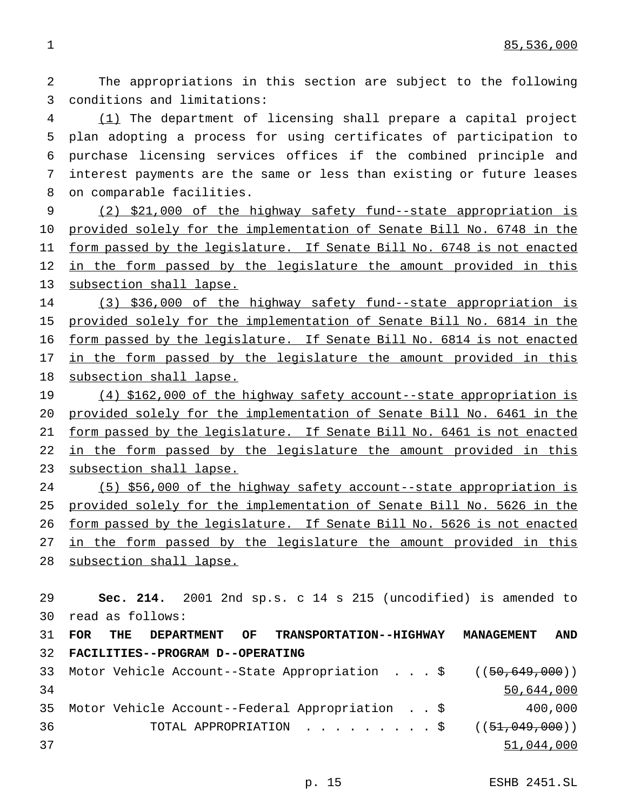The appropriations in this section are subject to the following conditions and limitations:

 (1) The department of licensing shall prepare a capital project plan adopting a process for using certificates of participation to purchase licensing services offices if the combined principle and interest payments are the same or less than existing or future leases on comparable facilities.

 (2) \$21,000 of the highway safety fund--state appropriation is provided solely for the implementation of Senate Bill No. 6748 in the 11 form passed by the legislature. If Senate Bill No. 6748 is not enacted 12 in the form passed by the legislature the amount provided in this 13 subsection shall lapse.

 (3) \$36,000 of the highway safety fund--state appropriation is provided solely for the implementation of Senate Bill No. 6814 in the 16 form passed by the legislature. If Senate Bill No. 6814 is not enacted 17 <u>in the form passed by the legislature the amount provided in this</u> subsection shall lapse.

 (4) \$162,000 of the highway safety account--state appropriation is provided solely for the implementation of Senate Bill No. 6461 in the form passed by the legislature. If Senate Bill No. 6461 is not enacted 22 in the form passed by the legislature the amount provided in this subsection shall lapse.

 (5) \$56,000 of the highway safety account--state appropriation is provided solely for the implementation of Senate Bill No. 5626 in the form passed by the legislature. If Senate Bill No. 5626 is not enacted 27 in the form passed by the legislature the amount provided in this 28 subsection shall lapse.

 **Sec. 214.** 2001 2nd sp.s. c 14 s 215 (uncodified) is amended to read as follows: **FOR THE DEPARTMENT OF TRANSPORTATION--HIGHWAY MANAGEMENT AND FACILITIES--PROGRAM D--OPERATING** Motor Vehicle Account--State Appropriation ...\$ ((50,649,000)) 50,644,000 Motor Vehicle Account--Federal Appropriation . . \$ 400,000 36 TOTAL APPROPRIATION . . . . . . . . \$ ((51,049,000)) 51,044,000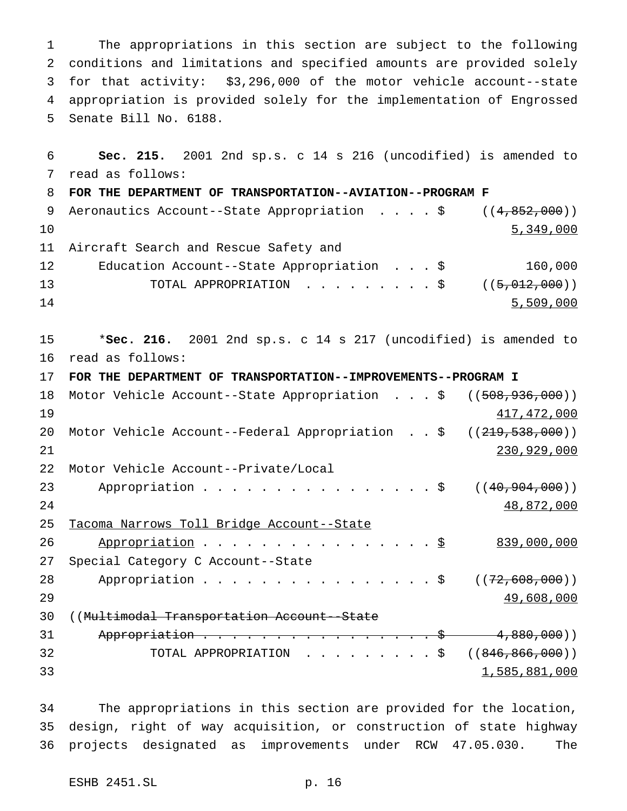The appropriations in this section are subject to the following conditions and limitations and specified amounts are provided solely for that activity: \$3,296,000 of the motor vehicle account--state appropriation is provided solely for the implementation of Engrossed Senate Bill No. 6188.

 **Sec. 215.** 2001 2nd sp.s. c 14 s 216 (uncodified) is amended to read as follows: **FOR THE DEPARTMENT OF TRANSPORTATION--AVIATION--PROGRAM F** 9 Aeronautics Account--State Appropriation . . . . \$ ((4,852,000)) 5,349,000 Aircraft Search and Rescue Safety and Education Account--State Appropriation ...\$ 160,000 13 TOTAL APPROPRIATION . . . . . . . . \$ ((<del>5,012,000</del>)) 14 5,509,000 \***Sec. 216.** 2001 2nd sp.s. c 14 s 217 (uncodified) is amended to read as follows: **FOR THE DEPARTMENT OF TRANSPORTATION--IMPROVEMENTS--PROGRAM I** 18 Motor Vehicle Account--State Appropriation . . . \$ ((508,936,000)) and  $417,472,000$ 20 Motor Vehicle Account--Federal Appropriation . . \$ ((<del>219,538,000</del>)) 230,929,000 Motor Vehicle Account--Private/Local 23 Appropriation . . . . . . . . . . . . . . \$ ((40,904,000)) 48,872,000 Tacoma Narrows Toll Bridge Account--State 26 Appropriation . . . . . . . . . . . . . . <u>\$</u> 839,000,000 Special Category C Account--State 28 Appropriation . . . . . . . . . . . . . . \$ ((<del>72,608,000</del>))  $49,608,000$  ((Multimodal Transportation Account--State 31 Appropriation . . . . . . . . . . . . . . . \$ 4,880,000)) 32 TOTAL APPROPRIATION . . . . . . . . \$ ((846,866,000)) 1,585,881,000

 The appropriations in this section are provided for the location, design, right of way acquisition, or construction of state highway projects designated as improvements under RCW 47.05.030. The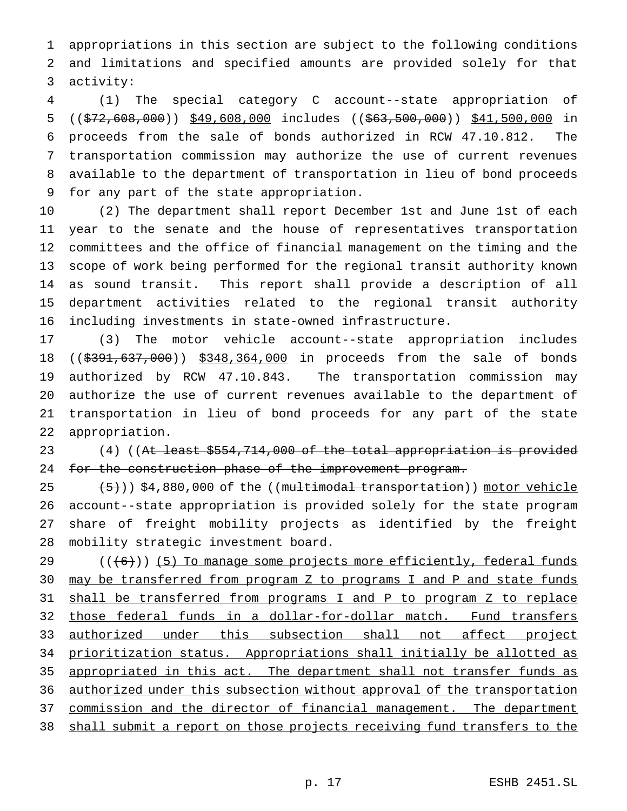appropriations in this section are subject to the following conditions and limitations and specified amounts are provided solely for that activity:

 (1) The special category C account--state appropriation of 5 ((\$72,608,000)) \$49,608,000 includes ((\$63,500,000)) \$41,500,000 in proceeds from the sale of bonds authorized in RCW 47.10.812. The transportation commission may authorize the use of current revenues available to the department of transportation in lieu of bond proceeds for any part of the state appropriation.

 (2) The department shall report December 1st and June 1st of each year to the senate and the house of representatives transportation committees and the office of financial management on the timing and the scope of work being performed for the regional transit authority known as sound transit. This report shall provide a description of all department activities related to the regional transit authority including investments in state-owned infrastructure.

 (3) The motor vehicle account--state appropriation includes 18 ((\$391,637,000)) \$348,364,000 in proceeds from the sale of bonds authorized by RCW 47.10.843. The transportation commission may authorize the use of current revenues available to the department of transportation in lieu of bond proceeds for any part of the state appropriation.

23 (4) ((At least \$554,714,000 of the total appropriation is provided 24 for the construction phase of the improvement program.

 $(5)$   $(5)$ ) \$4,880,000 of the ((multimodal transportation)) motor vehicle account--state appropriation is provided solely for the state program share of freight mobility projects as identified by the freight mobility strategic investment board.

 ( $(\overline{6})$ ) (5) To manage some projects more efficiently, federal funds may be transferred from program Z to programs I and P and state funds shall be transferred from programs I and P to program Z to replace those federal funds in a dollar-for-dollar match. Fund transfers authorized under this subsection shall not affect project prioritization status. Appropriations shall initially be allotted as 35 appropriated in this act. The department shall not transfer funds as authorized under this subsection without approval of the transportation 37 commission and the director of financial management. The department 38 shall submit a report on those projects receiving fund transfers to the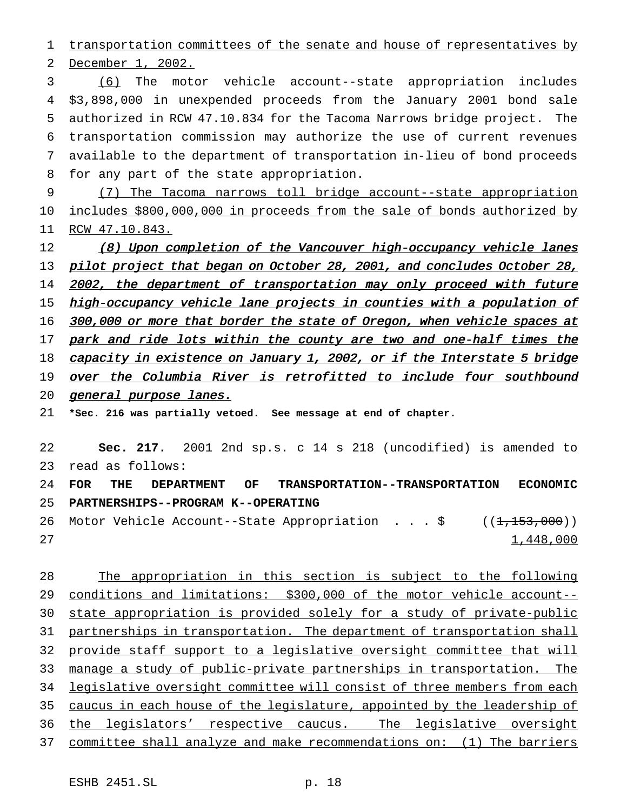1 transportation committees of the senate and house of representatives by

2 December 1, 2002.

 (6) The motor vehicle account--state appropriation includes \$3,898,000 in unexpended proceeds from the January 2001 bond sale authorized in RCW 47.10.834 for the Tacoma Narrows bridge project. The transportation commission may authorize the use of current revenues available to the department of transportation in-lieu of bond proceeds for any part of the state appropriation.

9 (7) The Tacoma narrows toll bridge account--state appropriation 10 includes \$800,000,000 in proceeds from the sale of bonds authorized by 11 RCW 47.10.843.

12 (8) Upon completion of the Vancouver high-occupancy vehicle lanes 13 pilot project that began on October 28, 2001, and concludes October 28, 14 2002, the department of transportation may only proceed with future 15 high-occupancy vehicle lane projects in counties with a population of 16 300,000 or more that border the state of Oregon, when vehicle spaces at 17 park and ride lots within the county are two and one-half times the 18 capacity in existence on January 1, 2002, or if the Interstate 5 bridge 19 over the Columbia River is retrofitted to include four southbound 20 general purpose lanes. 21 **\*Sec. 216 was partially vetoed. See message at end of chapter.** 22 **Sec. 217.** 2001 2nd sp.s. c 14 s 218 (uncodified) is amended to

23 read as follows: 24 **FOR THE DEPARTMENT OF TRANSPORTATION--TRANSPORTATION ECONOMIC** 25 **PARTNERSHIPS--PROGRAM K--OPERATING**

26 Motor Vehicle Account--State Appropriation . . . \$ ((1,153,000))  $27$  and  $1,448,000$ 

28 The appropriation in this section is subject to the following 29 conditions and limitations: \$300,000 of the motor vehicle account-- 30 state appropriation is provided solely for a study of private-public 31 partnerships in transportation. The department of transportation shall 32 provide staff support to a legislative oversight committee that will 33 manage a study of public-private partnerships in transportation. The 34 legislative oversight committee will consist of three members from each 35 caucus in each house of the legislature, appointed by the leadership of 36 the legislators' respective caucus. The legislative oversight 37 committee shall analyze and make recommendations on: (1) The barriers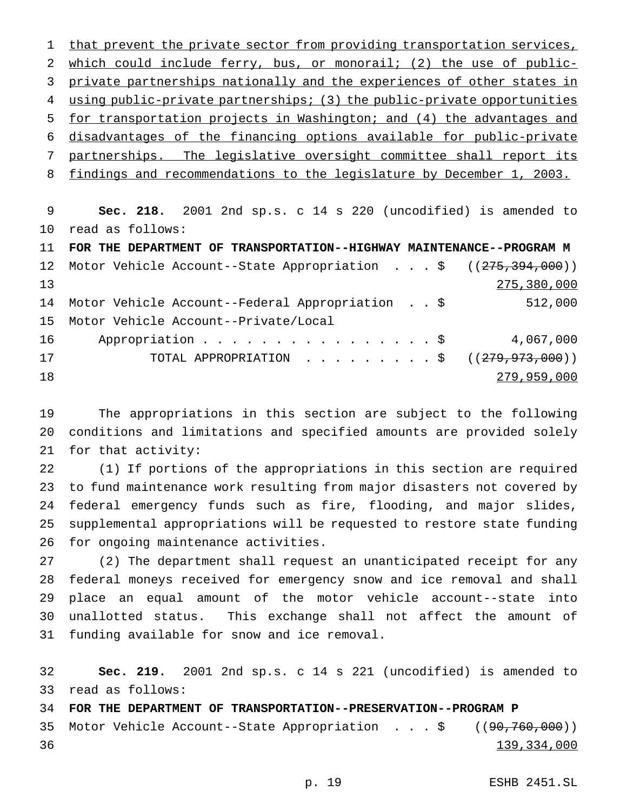1 that prevent the private sector from providing transportation services, which could include ferry, bus, or monorail; (2) the use of public- private partnerships nationally and the experiences of other states in 4 using public-private partnerships; (3) the public-private opportunities for transportation projects in Washington; and (4) the advantages and disadvantages of the financing options available for public-private partnerships. The legislative oversight committee shall report its findings and recommendations to the legislature by December 1, 2003.

 **Sec. 218.** 2001 2nd sp.s. c 14 s 220 (uncodified) is amended to read as follows:

 **FOR THE DEPARTMENT OF TRANSPORTATION--HIGHWAY MAINTENANCE--PROGRAM M** 12 Motor Vehicle Account--State Appropriation . . . \$ ((275,394,000)) 275,380,000 Motor Vehicle Account--Federal Appropriation . . \$ 512,000 Motor Vehicle Account--Private/Local 16 Appropriation . . . . . . . . . . . . . . \$ 4,067,000 17 TOTAL APPROPRIATION . . . . . . . . \$ ((<del>279,973,000</del>)) 279,959,000

 The appropriations in this section are subject to the following conditions and limitations and specified amounts are provided solely for that activity:

 (1) If portions of the appropriations in this section are required to fund maintenance work resulting from major disasters not covered by federal emergency funds such as fire, flooding, and major slides, supplemental appropriations will be requested to restore state funding for ongoing maintenance activities.

 (2) The department shall request an unanticipated receipt for any federal moneys received for emergency snow and ice removal and shall place an equal amount of the motor vehicle account--state into unallotted status. This exchange shall not affect the amount of funding available for snow and ice removal.

 **Sec. 219.** 2001 2nd sp.s. c 14 s 221 (uncodified) is amended to read as follows:

**FOR THE DEPARTMENT OF TRANSPORTATION--PRESERVATION--PROGRAM P**

 Motor Vehicle Account--State Appropriation ...\$ ((90,760,000)) 139,334,000

p. 19 ESHB 2451.SL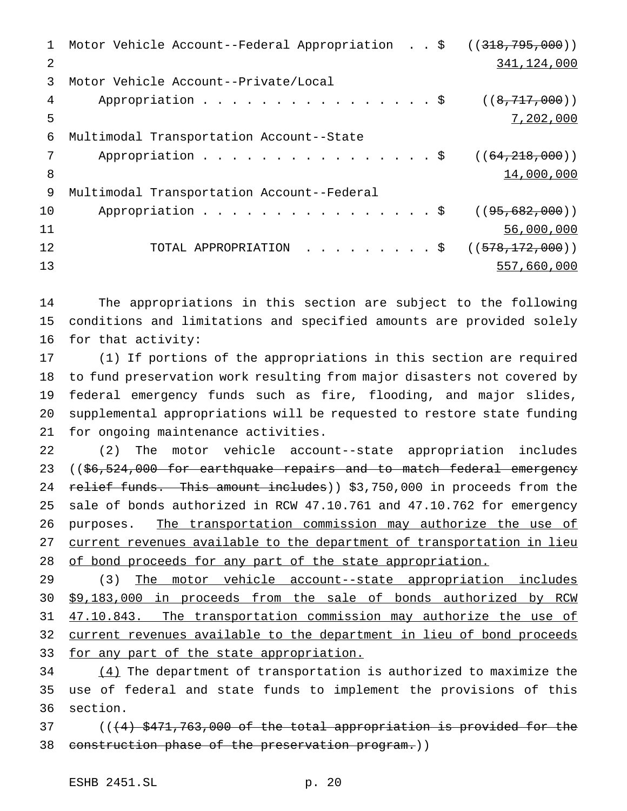1 Motor Vehicle Account--Federal Appropriation . . \$ ((318,795,000)) 341,124,000 Motor Vehicle Account--Private/Local 4 Appropriation . . . . . . . . . . . . . . \$ ((8,717,000)) 7,202,000 Multimodal Transportation Account--State 7 Appropriation . . . . . . . . . . . . . . . \$ ((64,218,000)) 8 14,000,000 Multimodal Transportation Account--Federal 10 Appropriation . . . . . . . . . . . . . . \$ ((<del>95,682,000</del>)) 56,000,000 12 TOTAL APPROPRIATION . . . . . . . . \$ ((<del>578,172,000</del>)) 557,660,000

 The appropriations in this section are subject to the following conditions and limitations and specified amounts are provided solely for that activity:

 (1) If portions of the appropriations in this section are required to fund preservation work resulting from major disasters not covered by federal emergency funds such as fire, flooding, and major slides, supplemental appropriations will be requested to restore state funding for ongoing maintenance activities.

 (2) The motor vehicle account--state appropriation includes 23 ((\$6,524,000 for earthquake repairs and to match federal emergency 24 relief funds. This amount includes)) \$3,750,000 in proceeds from the sale of bonds authorized in RCW 47.10.761 and 47.10.762 for emergency 26 purposes. The transportation commission may authorize the use of current revenues available to the department of transportation in lieu 28 of bond proceeds for any part of the state appropriation.

29 (3) The motor vehicle account--state appropriation includes \$9,183,000 in proceeds from the sale of bonds authorized by RCW 47.10.843. The transportation commission may authorize the use of current revenues available to the department in lieu of bond proceeds 33 for any part of the state appropriation.

 (4) The department of transportation is authorized to maximize the use of federal and state funds to implement the provisions of this section.

37 ((<del>(4) \$471,763,000 of the total appropriation is provided for the</del> construction phase of the preservation program.))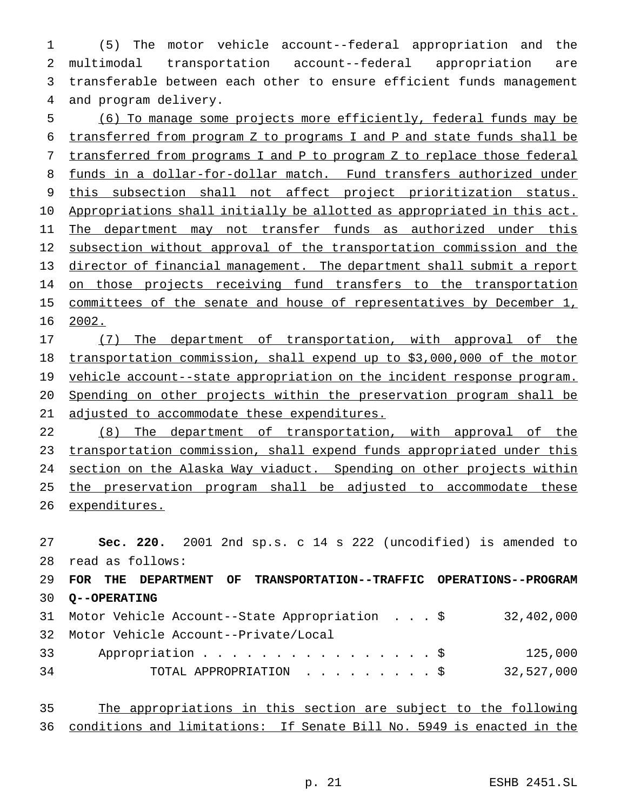(5) The motor vehicle account--federal appropriation and the multimodal transportation account--federal appropriation are transferable between each other to ensure efficient funds management and program delivery.

5 (6) To manage some projects more efficiently, federal funds may be 6 transferred from program Z to programs I and P and state funds shall be 7 transferred from programs I and P to program Z to replace those federal 8 funds in a dollar-for-dollar match. Fund transfers authorized under 9 this subsection shall not affect project prioritization status. 10 Appropriations shall initially be allotted as appropriated in this act. 11 The department may not transfer funds as authorized under this 12 subsection without approval of the transportation commission and the 13 director of financial management. The department shall submit a report 14 on those projects receiving fund transfers to the transportation 15 committees of the senate and house of representatives by December 1, 16 2002.

17 (7) The department of transportation, with approval of the 18 transportation commission, shall expend up to \$3,000,000 of the motor 19 vehicle account--state appropriation on the incident response program. 20 Spending on other projects within the preservation program shall be 21 adjusted to accommodate these expenditures.

22 (8) The department of transportation, with approval of the 23 transportation commission, shall expend funds appropriated under this 24 section on the Alaska Way viaduct. Spending on other projects within 25 the preservation program shall be adjusted to accommodate these 26 expenditures.

 **Sec. 220.** 2001 2nd sp.s. c 14 s 222 (uncodified) is amended to read as follows: **FOR THE DEPARTMENT OF TRANSPORTATION--TRAFFIC OPERATIONS--PROGRAM Q--OPERATING** Motor Vehicle Account--State Appropriation ...\$ 32,402,000 Motor Vehicle Account--Private/Local 33 Appropriation . . . . . . . . . . . . . . . \$ 125,000 TOTAL APPROPRIATION .........\$ 32,527,000

| 35 |  | The appropriations in this section are subject to the following          |  |  |  |  |  |
|----|--|--------------------------------------------------------------------------|--|--|--|--|--|
|    |  | 36 conditions and limitations: If Senate Bill No. 5949 is enacted in the |  |  |  |  |  |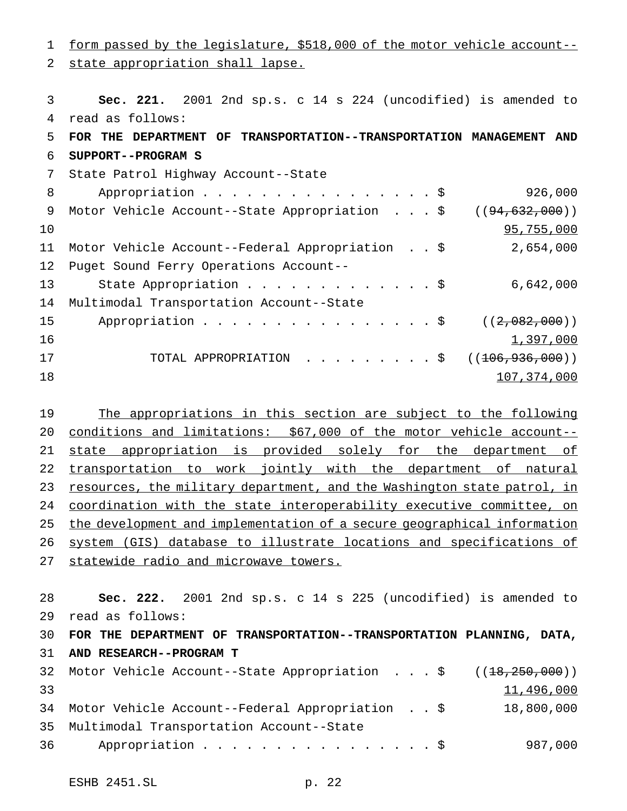form passed by the legislature, \$518,000 of the motor vehicle account-- state appropriation shall lapse. **Sec. 221.** 2001 2nd sp.s. c 14 s 224 (uncodified) is amended to read as follows: **FOR THE DEPARTMENT OF TRANSPORTATION--TRANSPORTATION MANAGEMENT AND SUPPORT--PROGRAM S** State Patrol Highway Account--State Appropriation................\$ 926,000 9 Motor Vehicle Account--State Appropriation . . . \$ ((94,632,000)) 95,755,000 Motor Vehicle Account--Federal Appropriation . . \$ 2,654,000 Puget Sound Ferry Operations Account-- State Appropriation.............\$ 6,642,000 Multimodal Transportation Account--State 15 Appropriation . . . . . . . . . . . . . . \$ ((2,082,000))  $1,397,000$ 17 TOTAL APPROPRIATION . . . . . . . . \$ ((<del>106,936,000</del>)) 107,374,000

19 The appropriations in this section are subject to the following conditions and limitations: \$67,000 of the motor vehicle account-- 21 state appropriation is provided solely for the department of transportation to work jointly with the department of natural 23 resources, the military department, and the Washington state patrol, in coordination with the state interoperability executive committee, on the development and implementation of a secure geographical information system (GIS) database to illustrate locations and specifications of statewide radio and microwave towers.

 **Sec. 222.** 2001 2nd sp.s. c 14 s 225 (uncodified) is amended to read as follows: **FOR THE DEPARTMENT OF TRANSPORTATION--TRANSPORTATION PLANNING, DATA, AND RESEARCH--PROGRAM T** Motor Vehicle Account--State Appropriation ...\$ ((18,250,000)) 11,496,000 Motor Vehicle Account--Federal Appropriation . . \$ 18,800,000 Multimodal Transportation Account--State 36 Appropriation . . . . . . . . . . . . . . . \$ 987,000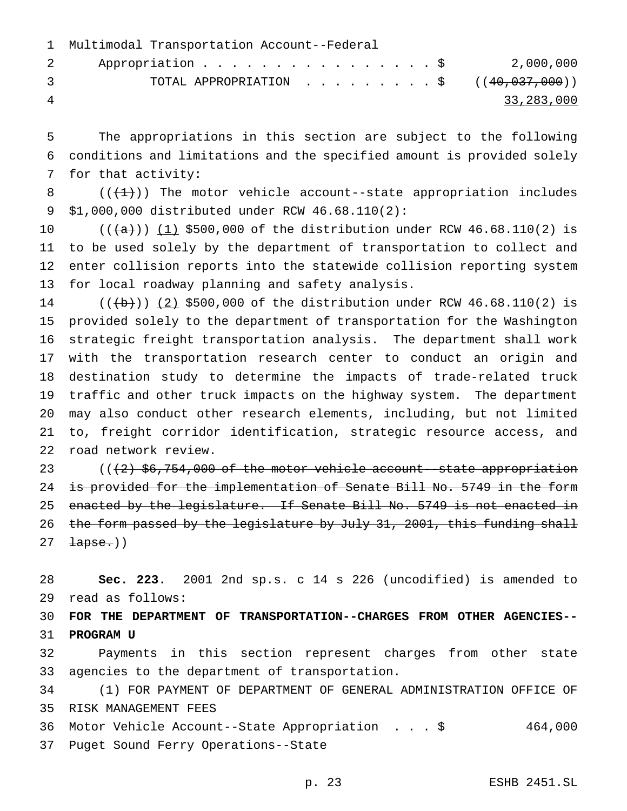|               | 1 Multimodal Transportation Account--Federal        |            |
|---------------|-----------------------------------------------------|------------|
|               | Appropriation \$ 2,000,000<br>$\mathbf{2}$          |            |
| $\mathcal{R}$ | TOTAL APPROPRIATION $\ldots$ , ( $(40, 037, 000)$ ) |            |
| 4             |                                                     | 33,283,000 |

 The appropriations in this section are subject to the following conditions and limitations and the specified amount is provided solely for that activity:

8  $((+1))$  The motor vehicle account--state appropriation includes \$1,000,000 distributed under RCW 46.68.110(2):

 $((+a))$   $(1)$  \$500,000 of the distribution under RCW 46.68.110(2) is to be used solely by the department of transportation to collect and enter collision reports into the statewide collision reporting system for local roadway planning and safety analysis.

 $((+b))$   $(2)$  \$500,000 of the distribution under RCW 46.68.110(2) is provided solely to the department of transportation for the Washington strategic freight transportation analysis. The department shall work with the transportation research center to conduct an origin and destination study to determine the impacts of trade-related truck traffic and other truck impacts on the highway system. The department may also conduct other research elements, including, but not limited to, freight corridor identification, strategic resource access, and road network review.

23  $((2)$   $$6,754,000$  of the motor vehicle account--state appropriation 24 is provided for the implementation of Senate Bill No. 5749 in the form 25 enacted by the legislature. If Senate Bill No. 5749 is not enacted in 26 the form passed by the legislature by July 31, 2001, this funding shall  $27 \quad \text{tapse.}$ )

 **Sec. 223.** 2001 2nd sp.s. c 14 s 226 (uncodified) is amended to read as follows:

 **FOR THE DEPARTMENT OF TRANSPORTATION--CHARGES FROM OTHER AGENCIES-- PROGRAM U**

 Payments in this section represent charges from other state agencies to the department of transportation.

 (1) FOR PAYMENT OF DEPARTMENT OF GENERAL ADMINISTRATION OFFICE OF RISK MANAGEMENT FEES

 Motor Vehicle Account--State Appropriation ...\$ 464,000 Puget Sound Ferry Operations--State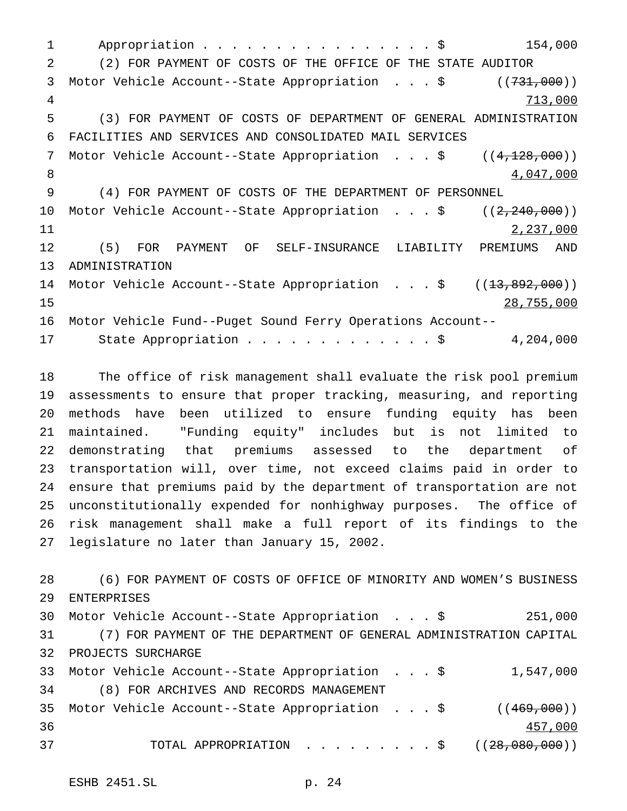1 Appropriation . . . . . . . . . . . . . . . \$ 154,000 (2) FOR PAYMENT OF COSTS OF THE OFFICE OF THE STATE AUDITOR 3 Motor Vehicle Account--State Appropriation . . . \$ ((731,000)) 713,000 (3) FOR PAYMENT OF COSTS OF DEPARTMENT OF GENERAL ADMINISTRATION FACILITIES AND SERVICES AND CONSOLIDATED MAIL SERVICES 7 Motor Vehicle Account--State Appropriation . . . \$ ((4,128,000)) 8 4,047,000 (4) FOR PAYMENT OF COSTS OF THE DEPARTMENT OF PERSONNEL 10 Motor Vehicle Account--State Appropriation . . . \$ ((2,240,000)) 2,237,000 (5) FOR PAYMENT OF SELF-INSURANCE LIABILITY PREMIUMS AND ADMINISTRATION 14 Motor Vehicle Account--State Appropriation . . . \$ ((<del>13,892,000</del>)) 28,755,000 Motor Vehicle Fund--Puget Sound Ferry Operations Account-- 17 State Appropriation . . . . . . . . . . . . \$ 4,204,000

 The office of risk management shall evaluate the risk pool premium assessments to ensure that proper tracking, measuring, and reporting methods have been utilized to ensure funding equity has been maintained. "Funding equity" includes but is not limited to demonstrating that premiums assessed to the department of transportation will, over time, not exceed claims paid in order to ensure that premiums paid by the department of transportation are not unconstitutionally expended for nonhighway purposes. The office of risk management shall make a full report of its findings to the legislature no later than January 15, 2002.

 (6) FOR PAYMENT OF COSTS OF OFFICE OF MINORITY AND WOMEN'S BUSINESS ENTERPRISES Motor Vehicle Account--State Appropriation ...\$ 251,000 (7) FOR PAYMENT OF THE DEPARTMENT OF GENERAL ADMINISTRATION CAPITAL PROJECTS SURCHARGE Motor Vehicle Account--State Appropriation ...\$ 1,547,000 (8) FOR ARCHIVES AND RECORDS MANAGEMENT 35 Motor Vehicle Account--State Appropriation . . . \$ ((469,000)) 457,000 37 TOTAL APPROPRIATION . . . . . . . . \$ ((<del>28,080,000</del>))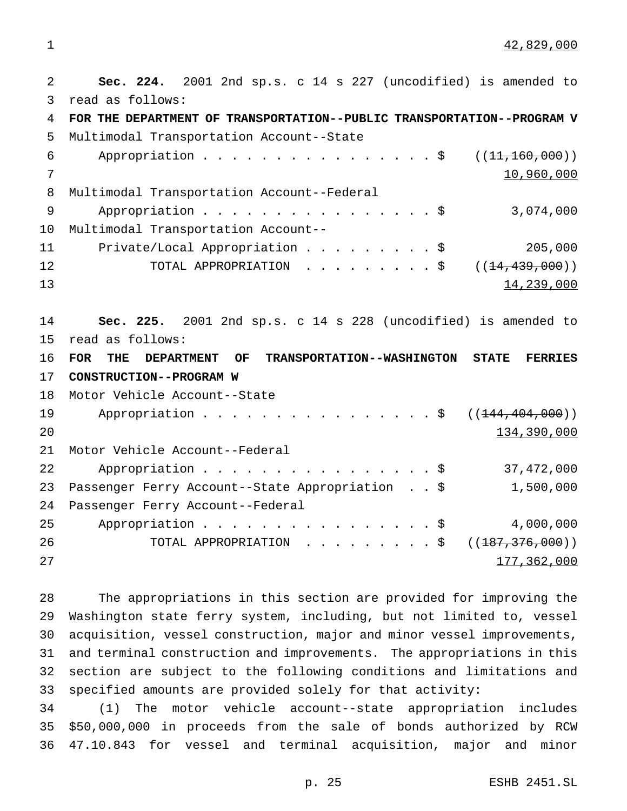42,829,000

 **Sec. 224.** 2001 2nd sp.s. c 14 s 227 (uncodified) is amended to read as follows: **FOR THE DEPARTMENT OF TRANSPORTATION--PUBLIC TRANSPORTATION--PROGRAM V** Multimodal Transportation Account--State 6 Appropriation . . . . . . . . . . . . . . . \$ ((11,160,000)) 10,960,000 Multimodal Transportation Account--Federal 9 Appropriation . . . . . . . . . . . . . . . \$ 3,074,000 Multimodal Transportation Account-- Private/Local Appropriation.........\$ 205,000 12 TOTAL APPROPRIATION .........\$ ((<del>14,439,000</del>)) 13 **Sec. 225.** 2001 2nd sp.s. c 14 s 228 (uncodified) is amended to read as follows: **FOR THE DEPARTMENT OF TRANSPORTATION--WASHINGTON STATE FERRIES CONSTRUCTION--PROGRAM W** Motor Vehicle Account--State 19 Appropriation . . . . . . . . . . . . . . . \$ ((<del>144,404,000</del>)) 20 134,390,000 Motor Vehicle Account--Federal 22 Appropriation . . . . . . . . . . . . . . . \$ 37,472,000 Passenger Ferry Account--State Appropriation . . \$ 1,500,000 Passenger Ferry Account--Federal 25 Appropriation . . . . . . . . . . . . . . . \$ 4,000,000 26 TOTAL APPROPRIATION . . . . . . . . \$ ((<del>187,376,000</del>)) 177,362,000

 The appropriations in this section are provided for improving the Washington state ferry system, including, but not limited to, vessel acquisition, vessel construction, major and minor vessel improvements, and terminal construction and improvements. The appropriations in this section are subject to the following conditions and limitations and specified amounts are provided solely for that activity:

 (1) The motor vehicle account--state appropriation includes \$50,000,000 in proceeds from the sale of bonds authorized by RCW 47.10.843 for vessel and terminal acquisition, major and minor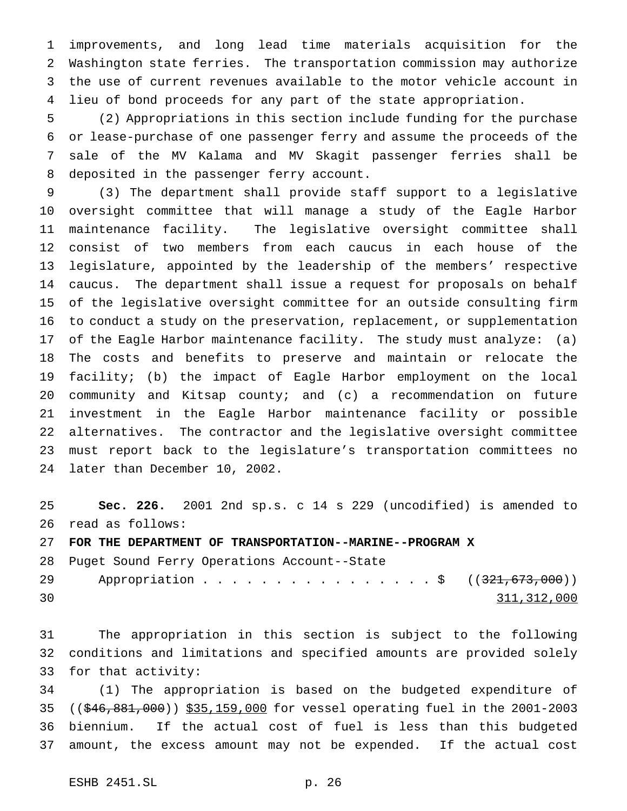improvements, and long lead time materials acquisition for the Washington state ferries. The transportation commission may authorize the use of current revenues available to the motor vehicle account in lieu of bond proceeds for any part of the state appropriation.

 (2) Appropriations in this section include funding for the purchase or lease-purchase of one passenger ferry and assume the proceeds of the sale of the MV Kalama and MV Skagit passenger ferries shall be deposited in the passenger ferry account.

 (3) The department shall provide staff support to a legislative oversight committee that will manage a study of the Eagle Harbor maintenance facility. The legislative oversight committee shall consist of two members from each caucus in each house of the legislature, appointed by the leadership of the members' respective caucus. The department shall issue a request for proposals on behalf of the legislative oversight committee for an outside consulting firm to conduct a study on the preservation, replacement, or supplementation of the Eagle Harbor maintenance facility. The study must analyze: (a) The costs and benefits to preserve and maintain or relocate the facility; (b) the impact of Eagle Harbor employment on the local community and Kitsap county; and (c) a recommendation on future investment in the Eagle Harbor maintenance facility or possible alternatives. The contractor and the legislative oversight committee must report back to the legislature's transportation committees no later than December 10, 2002.

 **Sec. 226.** 2001 2nd sp.s. c 14 s 229 (uncodified) is amended to read as follows:

**FOR THE DEPARTMENT OF TRANSPORTATION--MARINE--PROGRAM X**

 Puget Sound Ferry Operations Account--State 29 Appropriation . . . . . . . . . . . . . . . \$ ((321,673,000)) 311,312,000

 The appropriation in this section is subject to the following conditions and limitations and specified amounts are provided solely for that activity:

 (1) The appropriation is based on the budgeted expenditure of ((\$46,881,000)) \$35,159,000 for vessel operating fuel in the 2001-2003 biennium. If the actual cost of fuel is less than this budgeted amount, the excess amount may not be expended. If the actual cost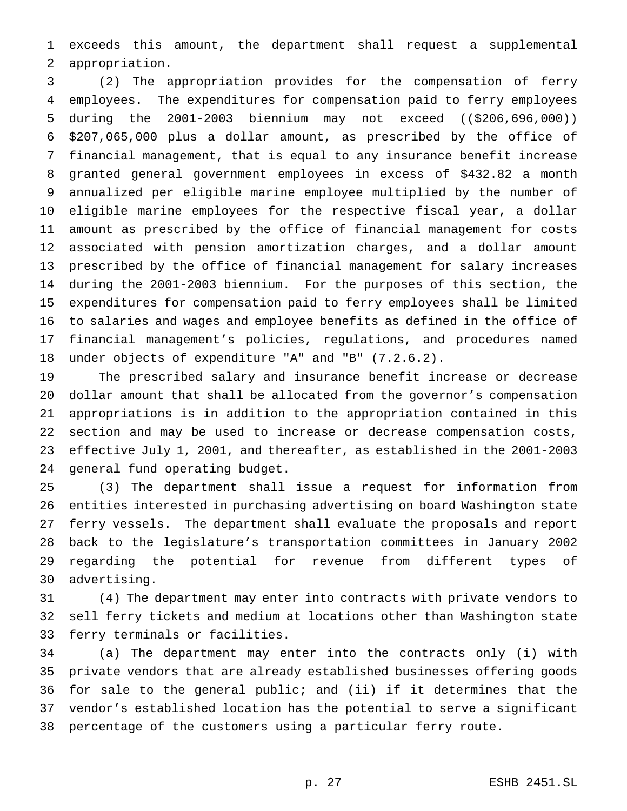exceeds this amount, the department shall request a supplemental appropriation.

 (2) The appropriation provides for the compensation of ferry employees. The expenditures for compensation paid to ferry employees during the 2001-2003 biennium may not exceed ((\$206,696,000)) \$207,065,000 plus a dollar amount, as prescribed by the office of financial management, that is equal to any insurance benefit increase granted general government employees in excess of \$432.82 a month annualized per eligible marine employee multiplied by the number of eligible marine employees for the respective fiscal year, a dollar amount as prescribed by the office of financial management for costs associated with pension amortization charges, and a dollar amount prescribed by the office of financial management for salary increases during the 2001-2003 biennium. For the purposes of this section, the expenditures for compensation paid to ferry employees shall be limited to salaries and wages and employee benefits as defined in the office of financial management's policies, regulations, and procedures named under objects of expenditure "A" and "B" (7.2.6.2).

 The prescribed salary and insurance benefit increase or decrease dollar amount that shall be allocated from the governor's compensation appropriations is in addition to the appropriation contained in this section and may be used to increase or decrease compensation costs, effective July 1, 2001, and thereafter, as established in the 2001-2003 general fund operating budget.

 (3) The department shall issue a request for information from entities interested in purchasing advertising on board Washington state ferry vessels. The department shall evaluate the proposals and report back to the legislature's transportation committees in January 2002 regarding the potential for revenue from different types of advertising.

 (4) The department may enter into contracts with private vendors to sell ferry tickets and medium at locations other than Washington state ferry terminals or facilities.

 (a) The department may enter into the contracts only (i) with private vendors that are already established businesses offering goods for sale to the general public; and (ii) if it determines that the vendor's established location has the potential to serve a significant percentage of the customers using a particular ferry route.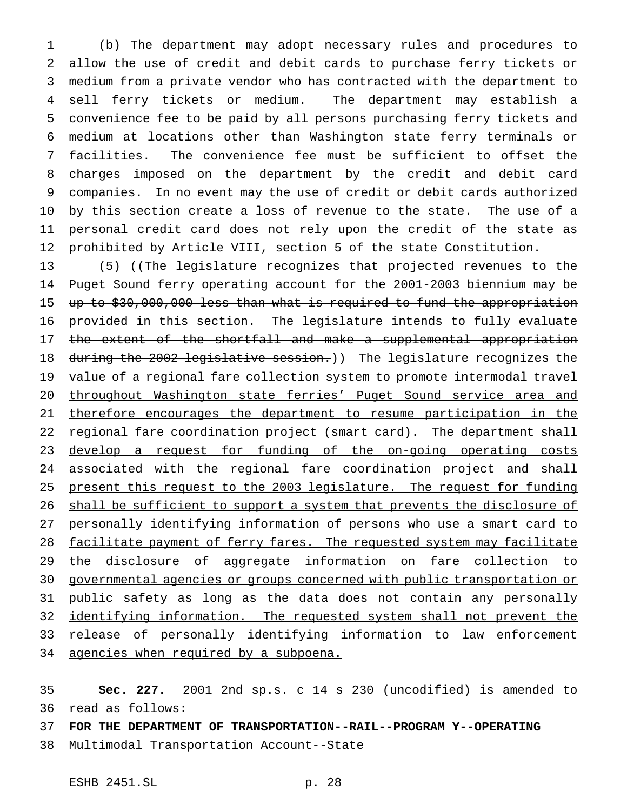(b) The department may adopt necessary rules and procedures to allow the use of credit and debit cards to purchase ferry tickets or medium from a private vendor who has contracted with the department to sell ferry tickets or medium. The department may establish a convenience fee to be paid by all persons purchasing ferry tickets and medium at locations other than Washington state ferry terminals or facilities. The convenience fee must be sufficient to offset the charges imposed on the department by the credit and debit card companies. In no event may the use of credit or debit cards authorized by this section create a loss of revenue to the state. The use of a personal credit card does not rely upon the credit of the state as prohibited by Article VIII, section 5 of the state Constitution.

13 (5) ((The legislature recognizes that projected revenues to the Puget Sound ferry operating account for the 2001-2003 biennium may be up to \$30,000,000 less than what is required to fund the appropriation provided in this section. The legislature intends to fully evaluate 17 the extent of the shortfall and make a supplemental appropriation 18 during the 2002 legislative session.)) The legislature recognizes the 19 value of a regional fare collection system to promote intermodal travel 20 throughout Washington state ferries' Puget Sound service area and 21 therefore encourages the department to resume participation in the 22 regional fare coordination project (smart card). The department shall 23 develop a request for funding of the on-going operating costs 24 associated with the regional fare coordination project and shall present this request to the 2003 legislature. The request for funding 26 shall be sufficient to support a system that prevents the disclosure of personally identifying information of persons who use a smart card to 28 facilitate payment of ferry fares. The requested system may facilitate the disclosure of aggregate information on fare collection to governmental agencies or groups concerned with public transportation or 31 public safety as long as the data does not contain any personally identifying information. The requested system shall not prevent the 33 release of personally identifying information to law enforcement agencies when required by a subpoena.

 **Sec. 227.** 2001 2nd sp.s. c 14 s 230 (uncodified) is amended to read as follows:

**FOR THE DEPARTMENT OF TRANSPORTATION--RAIL--PROGRAM Y--OPERATING**

Multimodal Transportation Account--State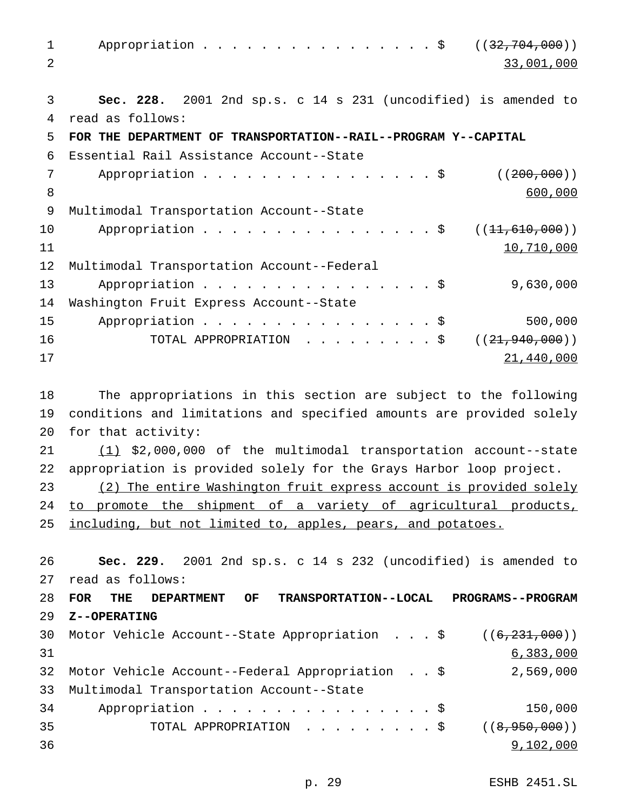1 Appropriation . . . . . . . . . . . . . . \$ ((32,704,000)) 33,001,000 **Sec. 228.** 2001 2nd sp.s. c 14 s 231 (uncodified) is amended to read as follows: **FOR THE DEPARTMENT OF TRANSPORTATION--RAIL--PROGRAM Y--CAPITAL** Essential Rail Assistance Account--State 7 Appropriation . . . . . . . . . . . . . . . \$ ((200,000)) 8 600,000 Multimodal Transportation Account--State 10 Appropriation . . . . . . . . . . . . . . \$ ((<del>11,610,000</del>)) 11 Multimodal Transportation Account--Federal 13 Appropriation . . . . . . . . . . . . . . . \$ 9,630,000 Washington Fruit Express Account--State 15 Appropriation . . . . . . . . . . . . . . . \$ 500,000 16 TOTAL APPROPRIATION . . . . . . . . \$ ((21,940,000)) 21,440,000

 The appropriations in this section are subject to the following conditions and limitations and specified amounts are provided solely for that activity:

 (1) \$2,000,000 of the multimodal transportation account--state appropriation is provided solely for the Grays Harbor loop project.

 (2) The entire Washington fruit express account is provided solely 24 to promote the shipment of a variety of agricultural products, 25 including, but not limited to, apples, pears, and potatoes.

 **Sec. 229.** 2001 2nd sp.s. c 14 s 232 (uncodified) is amended to read as follows:

```
28 FOR THE DEPARTMENT OF TRANSPORTATION--LOCAL PROGRAMS--PROGRAM
29 Z--OPERATING
30 Motor Vehicle Account--State Appropriation . . . $ ((6,231,000))
31 6,383,000
32 Motor Vehicle Account--Federal Appropriation . . $ 2,569,000
33 Multimodal Transportation Account--State
34 Appropriation . . . . . . . . . . . . . . . $ 150,000
35 TOTAL APPROPRIATION . . . . . . . . $ ((<del>8,950,000</del>))
36 9,102,000
```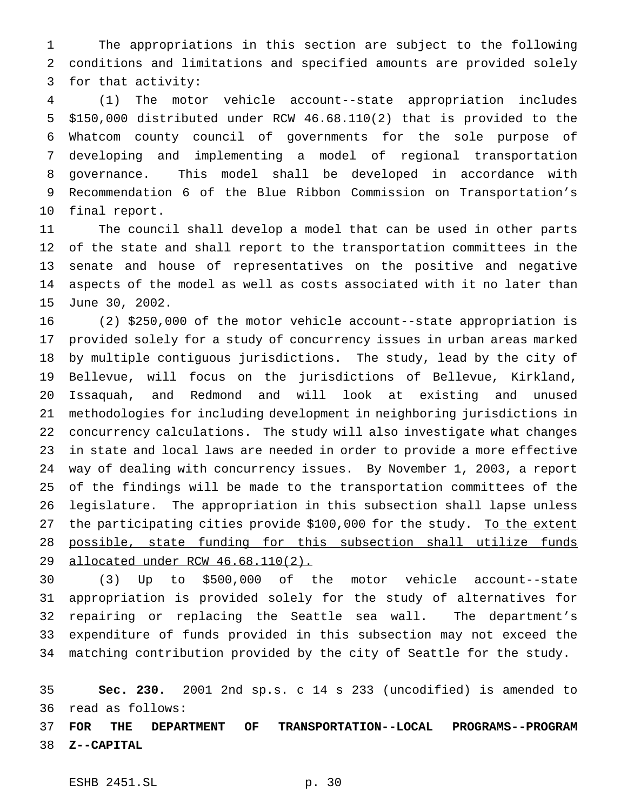The appropriations in this section are subject to the following conditions and limitations and specified amounts are provided solely for that activity:

 (1) The motor vehicle account--state appropriation includes \$150,000 distributed under RCW 46.68.110(2) that is provided to the Whatcom county council of governments for the sole purpose of developing and implementing a model of regional transportation governance. This model shall be developed in accordance with Recommendation 6 of the Blue Ribbon Commission on Transportation's final report.

 The council shall develop a model that can be used in other parts of the state and shall report to the transportation committees in the senate and house of representatives on the positive and negative aspects of the model as well as costs associated with it no later than June 30, 2002.

 (2) \$250,000 of the motor vehicle account--state appropriation is provided solely for a study of concurrency issues in urban areas marked by multiple contiguous jurisdictions. The study, lead by the city of Bellevue, will focus on the jurisdictions of Bellevue, Kirkland, Issaquah, and Redmond and will look at existing and unused methodologies for including development in neighboring jurisdictions in concurrency calculations. The study will also investigate what changes in state and local laws are needed in order to provide a more effective way of dealing with concurrency issues. By November 1, 2003, a report of the findings will be made to the transportation committees of the legislature. The appropriation in this subsection shall lapse unless 27 the participating cities provide \$100,000 for the study. To the extent possible, state funding for this subsection shall utilize funds allocated under RCW 46.68.110(2).

 (3) Up to \$500,000 of the motor vehicle account--state appropriation is provided solely for the study of alternatives for repairing or replacing the Seattle sea wall. The department's expenditure of funds provided in this subsection may not exceed the matching contribution provided by the city of Seattle for the study.

 **Sec. 230.** 2001 2nd sp.s. c 14 s 233 (uncodified) is amended to read as follows:

 **FOR THE DEPARTMENT OF TRANSPORTATION--LOCAL PROGRAMS--PROGRAM Z--CAPITAL**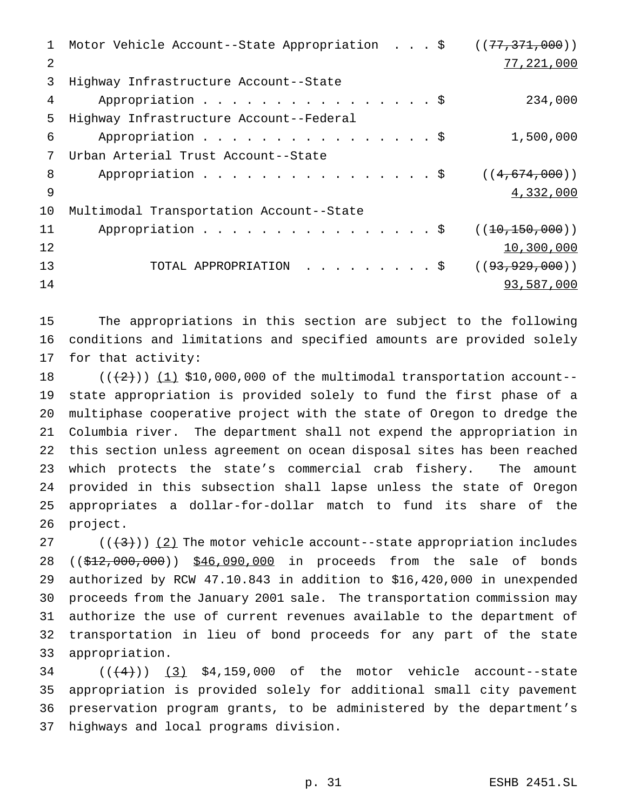| 1  | Motor Vehicle Account--State Appropriation \$ | ((77, 371, 000))   |
|----|-----------------------------------------------|--------------------|
| 2  |                                               | 77,221,000         |
| 3  | Highway Infrastructure Account--State         |                    |
| 4  | Appropriation \$                              | 234,000            |
| 5  | Highway Infrastructure Account--Federal       |                    |
| 6  | Appropriation \$                              | 1,500,000          |
| 7  | Urban Arterial Trust Account--State           |                    |
| 8  | Appropriation \$                              | ((4, 674, 000))    |
| 9  |                                               | 4,332,000          |
| 10 | Multimodal Transportation Account--State      |                    |
| 11 | Appropriation $\frac{1}{5}$                   | ((10, 150, 000))   |
| 12 |                                               | 10,300,000         |
| 13 | TOTAL APPROPRIATION \$                        | ( (93, 929, 000) ) |
| 14 |                                               | 93,587,000         |
|    |                                               |                    |

 The appropriations in this section are subject to the following conditions and limitations and specified amounts are provided solely for that activity:

 $((+2))$   $(1)$  \$10,000,000 of the multimodal transportation account-- state appropriation is provided solely to fund the first phase of a multiphase cooperative project with the state of Oregon to dredge the Columbia river. The department shall not expend the appropriation in this section unless agreement on ocean disposal sites has been reached which protects the state's commercial crab fishery. The amount provided in this subsection shall lapse unless the state of Oregon appropriates a dollar-for-dollar match to fund its share of the project.

 $((+3))$   $(2)$  The motor vehicle account--state appropriation includes 28 ((\$12,000,000)) \$46,090,000 in proceeds from the sale of bonds authorized by RCW 47.10.843 in addition to \$16,420,000 in unexpended proceeds from the January 2001 sale. The transportation commission may authorize the use of current revenues available to the department of transportation in lieu of bond proceeds for any part of the state appropriation.

 $((\frac{4}{3})$  (3) \$4,159,000 of the motor vehicle account--state appropriation is provided solely for additional small city pavement preservation program grants, to be administered by the department's highways and local programs division.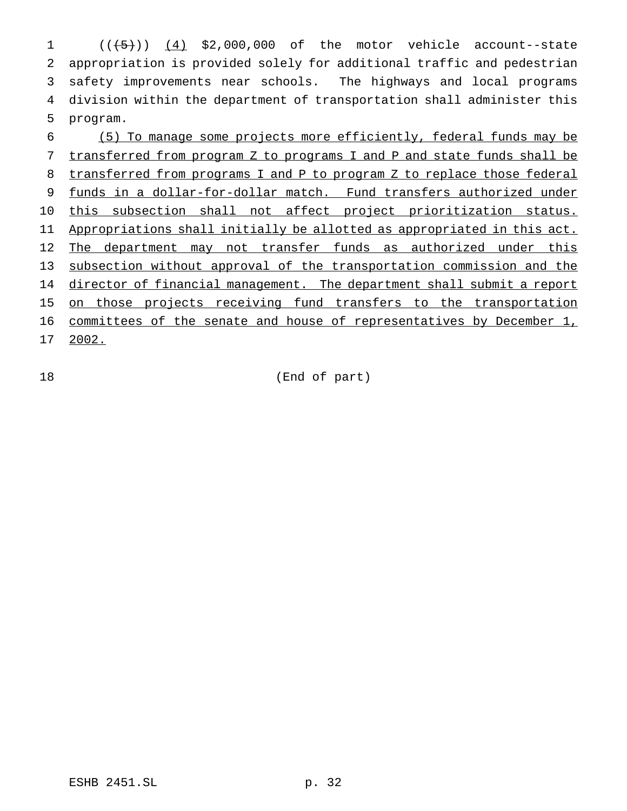$((\frac{1}{5}))$   $(4)$  \$2,000,000 of the motor vehicle account--state appropriation is provided solely for additional traffic and pedestrian safety improvements near schools. The highways and local programs division within the department of transportation shall administer this 5 program.

6 (5) To manage some projects more efficiently, federal funds may be 7 transferred from program Z to programs I and P and state funds shall be 8 transferred from programs I and P to program Z to replace those federal 9 funds in a dollar-for-dollar match. Fund transfers authorized under 10 this subsection shall not affect project prioritization status. 11 Appropriations shall initially be allotted as appropriated in this act. 12 The department may not transfer funds as authorized under this 13 subsection without approval of the transportation commission and the 14 director of financial management. The department shall submit a report 15 on those projects receiving fund transfers to the transportation 16 committees of the senate and house of representatives by December 1, 17 2002.

18 (End of part)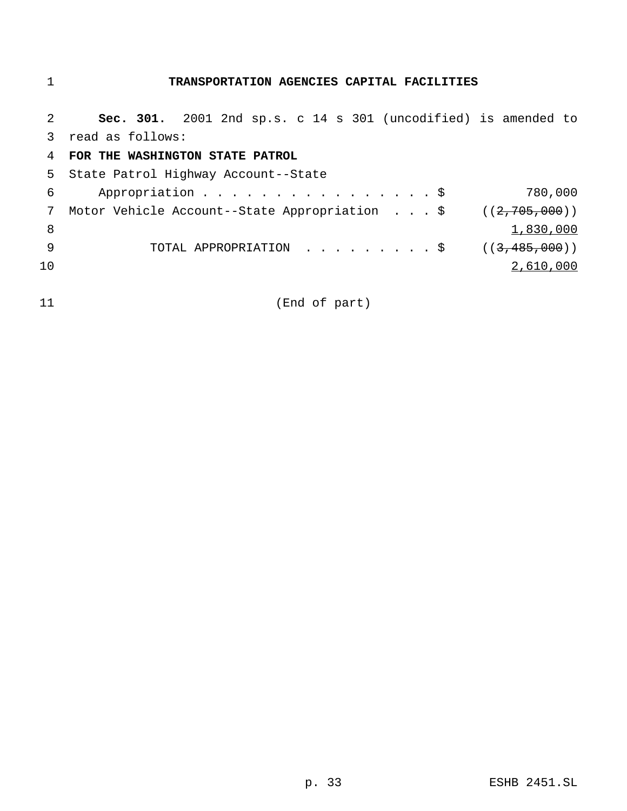# **TRANSPORTATION AGENCIES CAPITAL FACILITIES**

| $\mathcal{L}$ | Sec. 301. 2001 2nd sp.s. c 14 s 301 (uncodified) is amended to |
|---------------|----------------------------------------------------------------|
| 3             | read as follows:                                               |
| 4             | FOR THE WASHINGTON STATE PATROL                                |
| 5.            | State Patrol Highway Account--State                            |
| 6             | Appropriation $\frac{1}{2}$<br>780,000                         |
| 7             | Motor Vehicle Account--State Appropriation \$ $((2,705,000))$  |
| 8             | 1,830,000                                                      |
| 9             | TOTAL APPROPRIATION \$<br>((3, 485, 000))                      |
| 10            | 2,610,000                                                      |
|               |                                                                |
| 11            | (End of part)                                                  |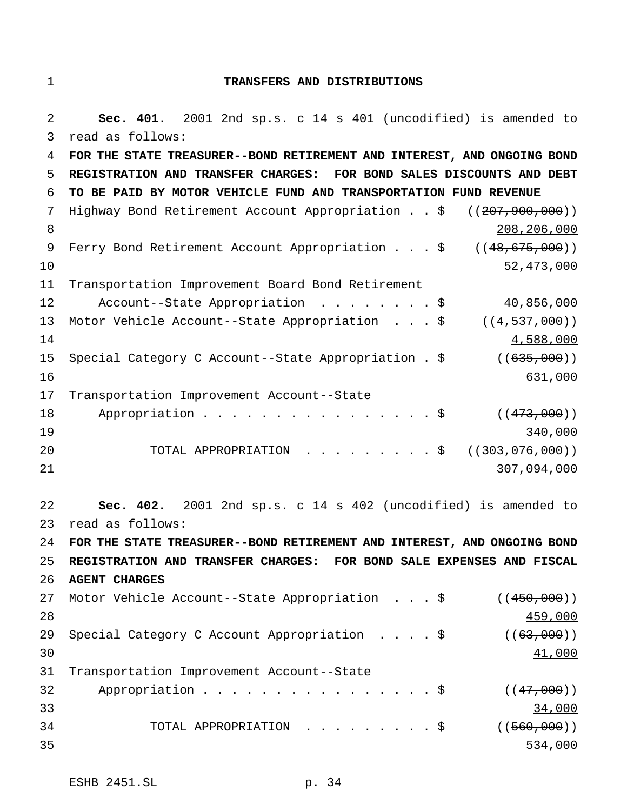### 1 **TRANSFERS AND DISTRIBUTIONS**

2 **Sec. 401.** 2001 2nd sp.s. c 14 s 401 (uncodified) is amended to 3 read as follows: 4 **FOR THE STATE TREASURER--BOND RETIREMENT AND INTEREST, AND ONGOING BOND** 5 **REGISTRATION AND TRANSFER CHARGES: FOR BOND SALES DISCOUNTS AND DEBT** 6 **TO BE PAID BY MOTOR VEHICLE FUND AND TRANSPORTATION FUND REVENUE** 7 Highway Bond Retirement Account Appropriation . . \$ ((207,900,000)) 8 208,206,000 9 Ferry Bond Retirement Account Appropriation . . . \$ ((48,675,000))  $10$  52,473,000 11 Transportation Improvement Board Bond Retirement 12 Account--State Appropriation ........\$ 40,856,000 13 Motor Vehicle Account--State Appropriation ...\$ ((4,537,000))  $14$   $4,588,000$ 15 Special Category C Account--State Appropriation . \$ ((635,000)) 16 631,000 17 Transportation Improvement Account--State 18 Appropriation . . . . . . . . . . . . . . \$ ((473,000)) 19 340,000 20 TOTAL APPROPRIATION . . . . . . . . \$ ((303,076,000)) 21 307,094,000 22 **Sec. 402.** 2001 2nd sp.s. c 14 s 402 (uncodified) is amended to 23 read as follows: 24 **FOR THE STATE TREASURER--BOND RETIREMENT AND INTEREST, AND ONGOING BOND** 25 **REGISTRATION AND TRANSFER CHARGES: FOR BOND SALE EXPENSES AND FISCAL** 26 **AGENT CHARGES** 27 Motor Vehicle Account--State Appropriation . . . \$ ((450,000)) 28 **459,000** 29 Special Category C Account Appropriation . . . . \$ ((63,000)) 30 and  $\frac{41,000}{2}$ 31 Transportation Improvement Account--State 32 Appropriation . . . . . . . . . . . . . . \$ ((47,000)) 33 33 34,000 34,000 34,000 34,000 34,000 34,000 34,000 34,000 34,000 34,000 34,000 34,000 34,000 34,000 34,000 34 TOTAL APPROPRIATION . . . . . . . . \$ ((<del>560,000</del>)) 35 534,000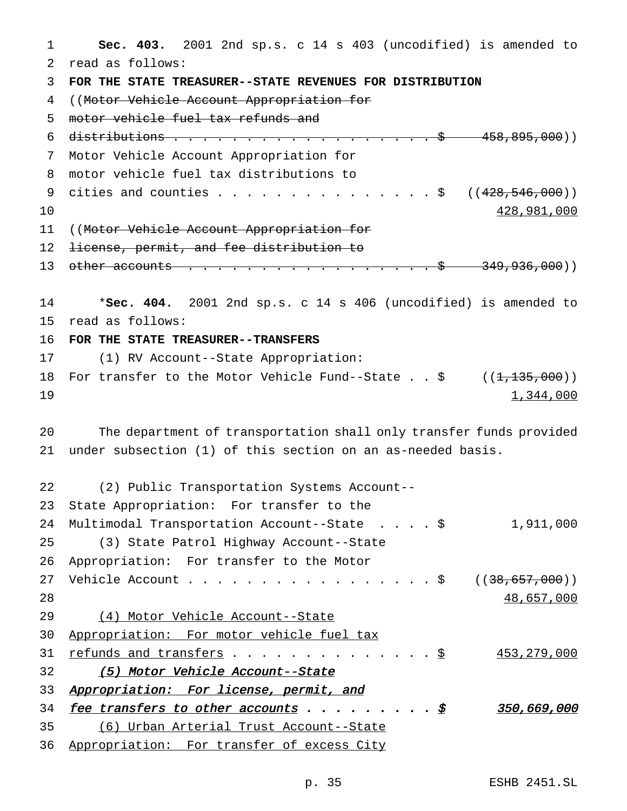**Sec. 403.** 2001 2nd sp.s. c 14 s 403 (uncodified) is amended to read as follows: **FOR THE STATE TREASURER--STATE REVENUES FOR DISTRIBUTION** ((Motor Vehicle Account Appropriation for motor vehicle fuel tax refunds and 6 distributions  $... \t... \t... \t... \t... \t... \t... \t...$  \$ 458,895,000)) Motor Vehicle Account Appropriation for motor vehicle fuel tax distributions to 9 cities and counties . . . . . . . . . . . . . . \$  $((428, 546, 000))$  and  $428,981,000$  ((Motor Vehicle Account Appropriation for 12 <del>license, permit, and fee distribution to</del> 13 other accounts . . . . . . . . . . . . . . . . \$ 349,936,000)) \***Sec. 404.** 2001 2nd sp.s. c 14 s 406 (uncodified) is amended to read as follows: **FOR THE STATE TREASURER--TRANSFERS** (1) RV Account--State Appropriation: 18 For transfer to the Motor Vehicle Fund--State . . \$ ((<del>1,135,000</del>))  $1,344,000$  The department of transportation shall only transfer funds provided under subsection (1) of this section on an as-needed basis. (2) Public Transportation Systems Account-- State Appropriation: For transfer to the Multimodal Transportation Account--State ....\$ 1,911,000 (3) State Patrol Highway Account--State Appropriation: For transfer to the Motor 27 Vehicle Account . . . . . . . . . . . . . . . . \$ ((38,657,000)) 48,657,000 (4) Motor Vehicle Account--State Appropriation: For motor vehicle fuel tax refunds and transfers ..............\$ 453,279,000 (5) Motor Vehicle Account--State 33 Appropriation: For license, permit, and fee transfers to other accounts fee otheraccounts.........\$ .........\$350,669,000 (6) Urban Arterial Trust Account--State

Appropriation: For transfer of excess City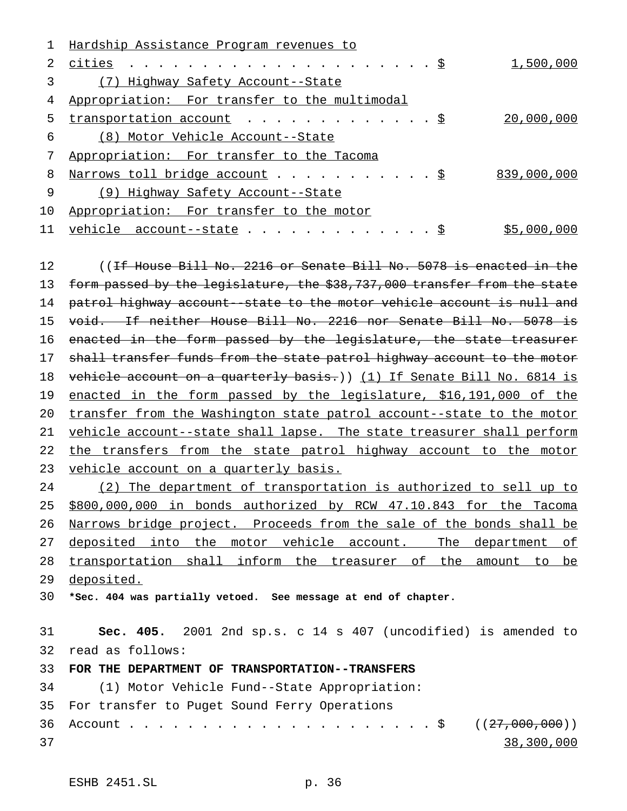|    | Hardship Assistance Program revenues to                                        |             |
|----|--------------------------------------------------------------------------------|-------------|
| 2. |                                                                                | 1,500,000   |
|    | (7) Highway Safety Account--State                                              |             |
| 4  | Appropriation: For transfer to the multimodal                                  |             |
| 5. | transportation account $\cdots$ $\S$                                           | 20,000,000  |
| 6  | (8) Motor Vehicle Account--State                                               |             |
|    | Appropriation: For transfer to the Tacoma                                      |             |
| 8  | Narrows toll bridge account \$                                                 | 839,000,000 |
| 9  | (9) Highway Safety Account--State                                              |             |
| 10 | Appropriation: For transfer to the motor                                       |             |
| 11 | vehicle $account - state$                                                      | \$5,000,000 |
|    |                                                                                |             |
| 12 | (( <del>If House Bill No. 2216 or Senate Bill No. 5078 is enacted in the</del> |             |

13 form passed by the legislature, the \$38,737,000 transfer from the state patrol highway account--state to the motor vehicle account is null and void. If neither House Bill No. 2216 nor Senate Bill No. 5078 is 16 enacted in the form passed by the legislature, the state treasurer 17 shall transfer funds from the state patrol highway account to the motor 18 vehicle account on a quarterly basis.)) (1) If Senate Bill No. 6814 is 19 enacted in the form passed by the legislature, \$16,191,000 of the 20 transfer from the Washington state patrol account--state to the motor 21 vehicle account--state shall lapse. The state treasurer shall perform 22 the transfers from the state patrol highway account to the motor vehicle account on a quarterly basis.

 (2) The department of transportation is authorized to sell up to \$800,000,000 in bonds authorized by RCW 47.10.843 for the Tacoma Narrows bridge project. Proceeds from the sale of the bonds shall be 27 deposited into the motor vehicle account. The department of transportation shall inform the treasurer of the amount to be deposited.

**\*Sec. 404 was partially vetoed. See message at end of chapter.**

 **Sec. 405.** 2001 2nd sp.s. c 14 s 407 (uncodified) is amended to read as follows:

# **FOR THE DEPARTMENT OF TRANSPORTATION--TRANSFERS**

 (1) Motor Vehicle Fund--State Appropriation: For transfer to Puget Sound Ferry Operations Account.....................\$ ((27,000,000)) 38,300,000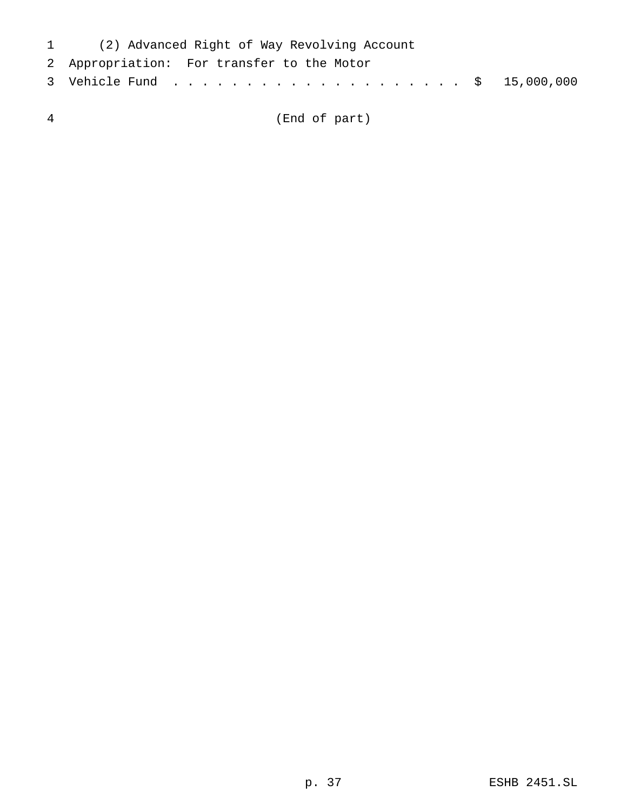| 1 (2) Advanced Right of Way Revolving Account |  |
|-----------------------------------------------|--|
| 2 Appropriation: For transfer to the Motor    |  |
|                                               |  |

(End of part)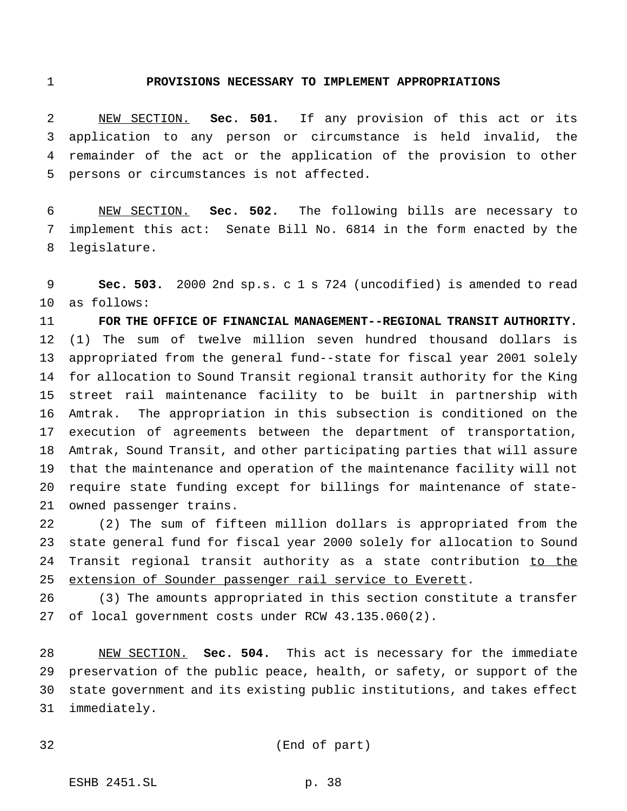#### **PROVISIONS NECESSARY TO IMPLEMENT APPROPRIATIONS**

 NEW SECTION. **Sec. 501.** If any provision of this act or its application to any person or circumstance is held invalid, the remainder of the act or the application of the provision to other persons or circumstances is not affected.

 NEW SECTION. **Sec. 502.** The following bills are necessary to implement this act: Senate Bill No. 6814 in the form enacted by the legislature.

 **Sec. 503.** 2000 2nd sp.s. c 1 s 724 (uncodified) is amended to read as follows:

 **FOR THE OFFICE OF FINANCIAL MANAGEMENT--REGIONAL TRANSIT AUTHORITY.** (1) The sum of twelve million seven hundred thousand dollars is appropriated from the general fund--state for fiscal year 2001 solely for allocation to Sound Transit regional transit authority for the King street rail maintenance facility to be built in partnership with Amtrak. The appropriation in this subsection is conditioned on the execution of agreements between the department of transportation, Amtrak, Sound Transit, and other participating parties that will assure that the maintenance and operation of the maintenance facility will not require state funding except for billings for maintenance of state-owned passenger trains.

 (2) The sum of fifteen million dollars is appropriated from the state general fund for fiscal year 2000 solely for allocation to Sound 24 Transit regional transit authority as a state contribution to the 25 extension of Sounder passenger rail service to Everett.

 (3) The amounts appropriated in this section constitute a transfer of local government costs under RCW 43.135.060(2).

 NEW SECTION. **Sec. 504.** This act is necessary for the immediate preservation of the public peace, health, or safety, or support of the state government and its existing public institutions, and takes effect immediately.

```
32 (End of part)
```
ESHB 2451.SL p. 38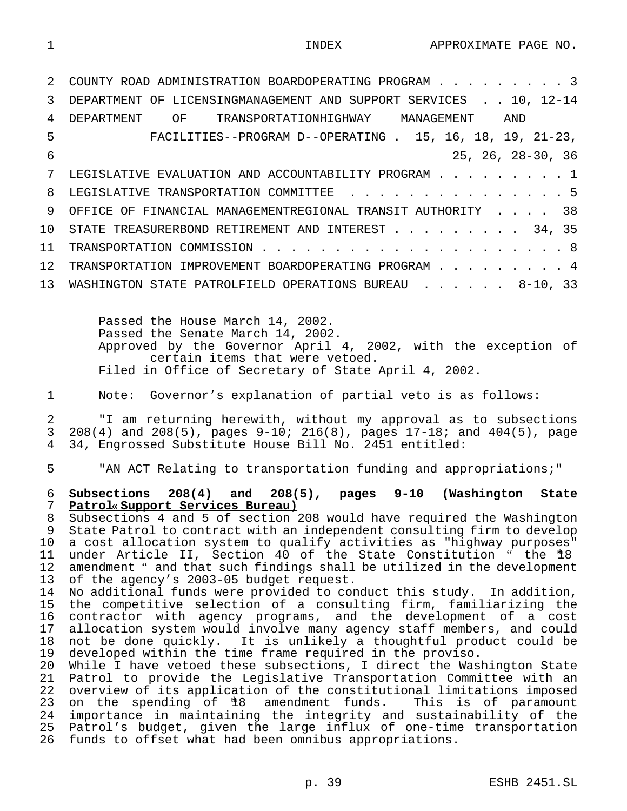INDEX APPROXIMATE PAGE NO.

|    | COUNTY ROAD ADMINISTRATION BOARDOPERATING PROGRAM 3              |
|----|------------------------------------------------------------------|
| 3  | DEPARTMENT OF LICENSINGMANAGEMENT AND SUPPORT SERVICES 10, 12-14 |
| 4  | TRANSPORTATIONHIGHWAY MANAGEMENT<br>DEPARTMENT<br>OF OF<br>AND   |
| 5  | FACILITIES--PROGRAM D--OPERATING . 15, 16, 18, 19, 21-23,        |
| 6  | $25, 26, 28-30, 36$                                              |
|    | LEGISLATIVE EVALUATION AND ACCOUNTABILITY PROGRAM 1              |
| 8  | LEGISLATIVE TRANSPORTATION COMMITTEE 5                           |
| 9  | OFFICE OF FINANCIAL MANAGEMENTREGIONAL TRANSIT AUTHORITY 38      |
| 10 | STATE TREASURERBOND RETIREMENT AND INTEREST 34, 35               |
| 11 |                                                                  |
| 12 | TRANSPORTATION IMPROVEMENT BOARDOPERATING PROGRAM 4              |
| 13 | WASHINGTON STATE PATROLFIELD OPERATIONS BUREAU 8-10, 33          |
|    |                                                                  |
|    | Passed the House March 14, 2002.                                 |

Passed the Senate March 14, 2002. Approved by the Governor April 4, 2002, with the exception of certain items that were vetoed. Filed in Office of Secretary of State April 4, 2002.

Note: Governor's explanation of partial veto is as follows:

 "I am returning herewith, without my approval as to subsections 3 208(4) and 208(5), pages  $9-10$ ; 216(8), pages  $17-18$ ; and  $404(5)$ , page  $4$  34, Engrossed Substitute House Bill No. 2451 entitled: 34, Engrossed Substitute House Bill No. 2451 entitled:

"AN ACT Relating to transportation funding and appropriations;"

# **Subsections 208(4) and 208(5), pages 9-10 (Washington State Patrol« Support Services Bureau)**

 Subsections 4 and 5 of section 208 would have required the Washington State Patrol to contract with an independent consulting firm to develop a cost allocation system to qualify activities as "highway purposes" 11 under Article II, Section 40 of the State Constitution " the #8 amendment " and that such findings shall be utilized in the development of the agency's 2003-05 budget request.

 No additional funds were provided to conduct this study. In addition, the competitive selection of a consulting firm, familiarizing the contractor with agency programs, and the development of a cost allocation system would involve many agency staff members, and could not be done quickly. It is unlikely a thoughtful product could be developed within the time frame required in the proviso.

 While I have vetoed these subsections, I direct the Washington State Patrol to provide the Legislative Transportation Committee with an overview of its application of the constitutional limitations imposed 23 on the spending of  $*8$  amendment funds. This is of paramount importance in maintaining the integrity and sustainability of the 25 Patrol's budget, given the large influx of one-time transportation<br>26 funds to offset what had been omnibus appropriations. funds to offset what had been omnibus appropriations.